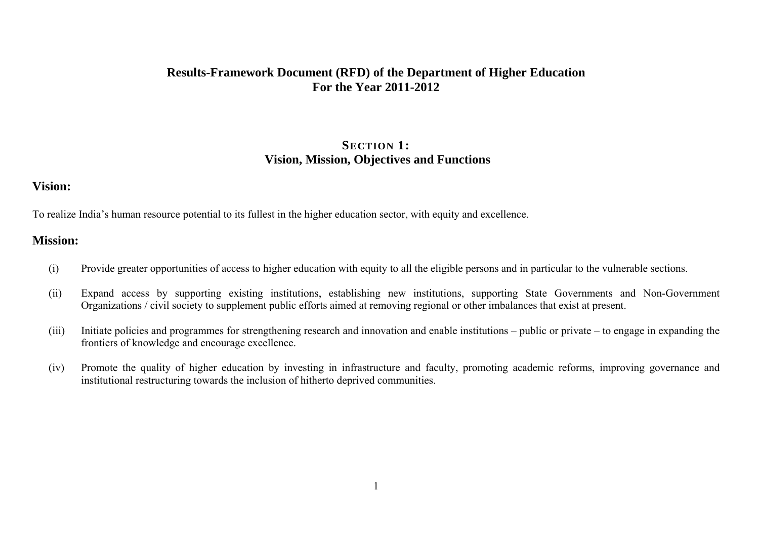## **Results-Framework Document (RFD) of the Department of Higher Education For the Year 2011-2012**

## **SECTION 1: Vision, Mission, Objectives and Functions**

### **Vision:**

To realize India's human resource potential to its fullest in the higher education sector, with equity and excellence.

### **Mission:**

- (i) Provide greater opportunities of access to higher education with equity to all the eligible persons and in particular to the vulnerable sections.
- (ii) Expand access by supporting existing institutions, establishing new institutions, supporting State Governments and Non-Government Organizations / civil society to supplement public efforts aimed at removing regional or other imbalances that exist at present.
- (iii) Initiate policies and programmes for strengthening research and innovation and enable institutions public or private to engage in expanding the frontiers of knowledge and encourage excellence.
- (iv) Promote the quality of higher education by investing in infrastructure and faculty, promoting academic reforms, improving governance and institutional restructuring towards the inclusion of hitherto deprived communities.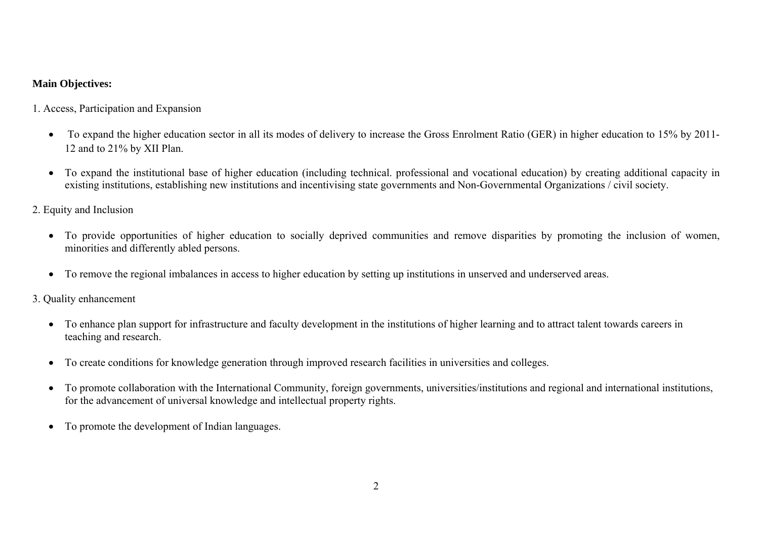#### **Main Objectives:**

1. Access, Participation and Expansion

- To expand the higher education sector in all its modes of delivery to increase the Gross Enrolment Ratio (GER) in higher education to 15% by 2011-12 and to 21% by XII Plan.
- To expand the institutional base of higher education (including technical. professional and vocational education) by creating additional capacity in existing institutions, establishing new institutions and incentivising state governments and Non-Governmental Organizations / civil society.

2. Equity and Inclusion

- To provide opportunities of higher education to socially deprived communities and remove disparities by promoting the inclusion of women, minorities and differently abled persons.
- To remove the regional imbalances in access to higher education by setting up institutions in unserved and underserved areas.

3. Quality enhancement

- To enhance plan support for infrastructure and faculty development in the institutions of higher learning and to attract talent towards careers in teaching and research.
- To create conditions for knowledge generation through improved research facilities in universities and colleges.
- $\bullet$  To promote collaboration with the International Community, foreign governments, universities/institutions and regional and international institutions, for the advancement of universal knowledge and intellectual property rights.
- To promote the development of Indian languages.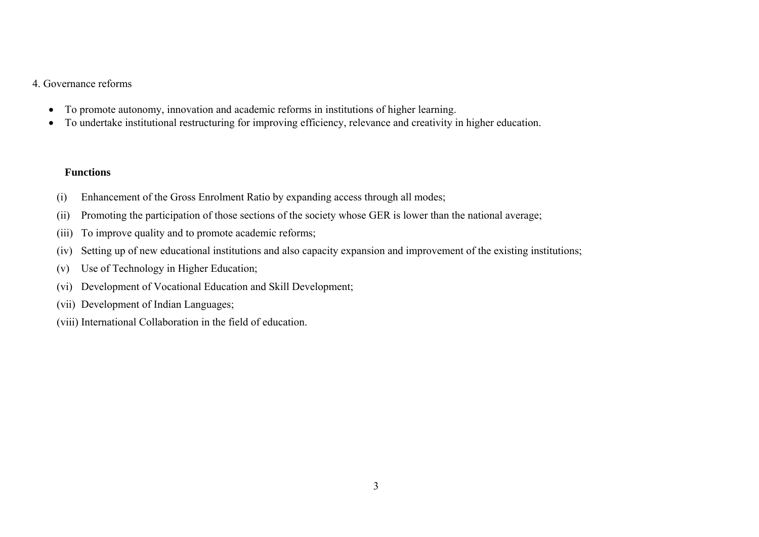#### 4. Governance reforms

- $\bullet$ To promote autonomy, innovation and academic reforms in institutions of higher learning.
- $\bullet$ To undertake institutional restructuring for improving efficiency, relevance and creativity in higher education.

#### **Functions**

- (i) Enhancement of the Gross Enrolment Ratio by expanding access through all modes;
- (ii) Promoting the participation of those sections of the society whose GER is lower than the national average;
- (iii) To improve quality and to promote academic reforms;
- (iv) Setting up of new educational institutions and also capacity expansion and improvement of the existing institutions;
- (v) Use of Technology in Higher Education;
- (vi) Development of Vocational Education and Skill Development;
- (vii) Development of Indian Languages;
- (viii) International Collaboration in the field of education.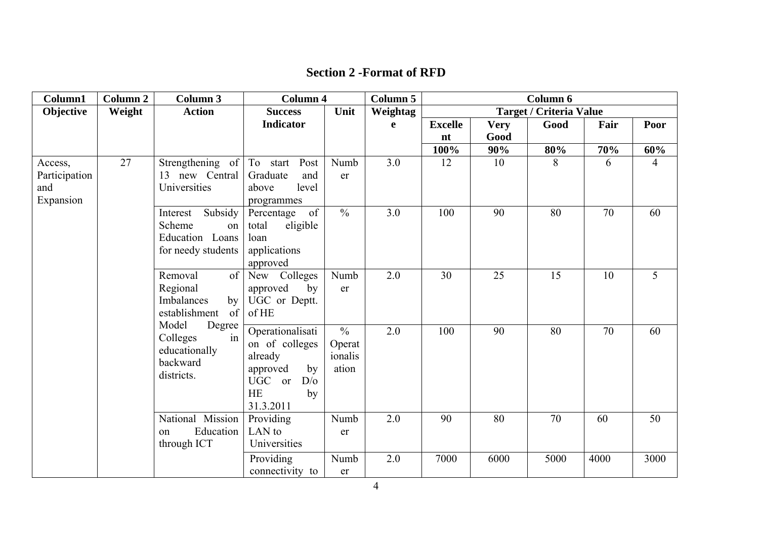| <b>Section 2 - Format of RFD</b> |  |  |  |
|----------------------------------|--|--|--|
|----------------------------------|--|--|--|

| Column1                                      | <b>Column 2</b> | Column 3                                                                     | <b>Column 4</b>                                                                                                  |                                             | Column 5 |                |             | Column 6                       |      |                |
|----------------------------------------------|-----------------|------------------------------------------------------------------------------|------------------------------------------------------------------------------------------------------------------|---------------------------------------------|----------|----------------|-------------|--------------------------------|------|----------------|
| Objective                                    | Weight          | <b>Action</b>                                                                | <b>Success</b>                                                                                                   | Unit                                        | Weightag |                |             | <b>Target / Criteria Value</b> |      |                |
|                                              |                 |                                                                              | <b>Indicator</b>                                                                                                 |                                             | e        | <b>Excelle</b> | <b>Very</b> | Good                           | Fair | Poor           |
|                                              |                 |                                                                              |                                                                                                                  |                                             |          | nt             | Good        |                                |      |                |
|                                              |                 |                                                                              |                                                                                                                  |                                             |          | 100%           | 90%         | 80%                            | 70%  | 60%            |
| Access,<br>Participation<br>and<br>Expansion | 27              | Strengthening of<br>13 new Central<br>Universities                           | To start<br>Post<br>Graduate<br>and<br>level<br>above<br>programmes                                              | Numb<br>er                                  | 3.0      | 12             | 10          | 8                              | 6    | $\overline{4}$ |
|                                              |                 | Subsidy<br>Interest<br>Scheme<br>on<br>Education Loans<br>for needy students | of<br>Percentage<br>eligible<br>total<br>loan<br>applications<br>approved                                        | $\frac{0}{0}$                               | 3.0      | 100            | 90          | 80                             | 70   | 60             |
|                                              |                 | of<br>Removal<br>Regional<br>Imbalances<br>by<br>establishment<br>of         | New Colleges<br>approved<br>by<br>UGC or Deptt.<br>of HE                                                         | Numb<br>er                                  | 2.0      | 30             | 25          | 15                             | 10   | 5              |
|                                              |                 | Model<br>Degree<br>Colleges<br>in<br>educationally<br>backward<br>districts. | Operationalisati<br>on of colleges<br>already<br>approved<br>by<br>UGC or<br>D/O<br><b>HE</b><br>by<br>31.3.2011 | $\frac{0}{0}$<br>Operat<br>ionalis<br>ation | 2.0      | 100            | 90          | 80                             | 70   | 60             |
|                                              |                 | National Mission<br>Education<br>on<br>through ICT                           | Providing<br>LAN to<br>Universities                                                                              | Numb<br>er                                  | 2.0      | 90             | 80          | 70                             | 60   | 50             |
|                                              |                 |                                                                              | Providing<br>connectivity to                                                                                     | Numb<br>er                                  | $2.0\,$  | 7000           | 6000        | 5000                           | 4000 | 3000           |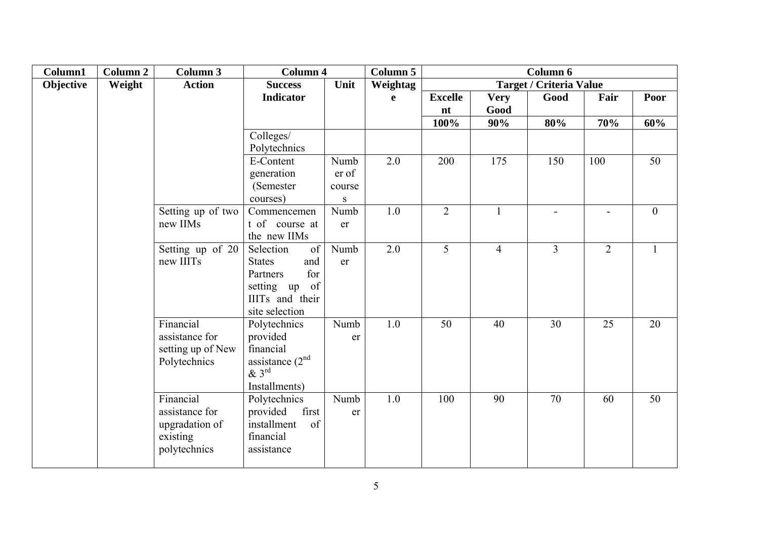| Column1   | <b>Column 2</b> | Column 3          | <b>Column 4</b>       |           | <b>Column 5</b> |                |                | Column 6                       |                |                 |
|-----------|-----------------|-------------------|-----------------------|-----------|-----------------|----------------|----------------|--------------------------------|----------------|-----------------|
| Objective | Weight          | <b>Action</b>     | <b>Success</b>        | Unit      | Weightag        |                |                | <b>Target / Criteria Value</b> |                |                 |
|           |                 |                   | <b>Indicator</b>      |           | e               | <b>Excelle</b> | <b>Very</b>    | Good                           | Fair           | Poor            |
|           |                 |                   |                       |           |                 | nt             | Good           |                                |                |                 |
|           |                 |                   |                       |           |                 | 100%           | 90%            | 80%                            | 70%            | 60%             |
|           |                 |                   | Colleges/             |           |                 |                |                |                                |                |                 |
|           |                 |                   | Polytechnics          |           |                 |                |                |                                |                |                 |
|           |                 |                   | E-Content             | Numb      | 2.0             | 200            | 175            | 150                            | 100            | 50              |
|           |                 |                   | generation            | er of     |                 |                |                |                                |                |                 |
|           |                 |                   | (Semester)            | course    |                 |                |                |                                |                |                 |
|           |                 |                   | courses)              | ${\bf S}$ |                 |                |                |                                |                |                 |
|           |                 | Setting up of two | Commencemen           | Numb      | 1.0             | $\overline{2}$ | $\mathbf{1}$   | $\blacksquare$                 |                | $\mathbf{0}$    |
|           |                 | new IIMs          | t of course at        | er        |                 |                |                |                                |                |                 |
|           |                 |                   | the new IIMs          |           |                 |                |                |                                |                |                 |
|           |                 | Setting up of 20  | of<br>Selection       | Numb      | 2.0             | 5              | $\overline{4}$ | 3                              | $\overline{2}$ |                 |
|           |                 | new IIITs         | and<br><b>States</b>  | er        |                 |                |                |                                |                |                 |
|           |                 |                   | for<br>Partners       |           |                 |                |                |                                |                |                 |
|           |                 |                   | of<br>setting up      |           |                 |                |                |                                |                |                 |
|           |                 |                   | IIITs and their       |           |                 |                |                |                                |                |                 |
|           |                 | Financial         | site selection        |           | 1.0             | 50             | 40             | 30                             | 25             | 20              |
|           |                 | assistance for    | Polytechnics          | Numb      |                 |                |                |                                |                |                 |
|           |                 | setting up of New | provided<br>financial | er        |                 |                |                |                                |                |                 |
|           |                 | Polytechnics      | assistance $(2nd$     |           |                 |                |                |                                |                |                 |
|           |                 |                   | $\&3^{\text{rd}}$     |           |                 |                |                |                                |                |                 |
|           |                 |                   | Installments)         |           |                 |                |                |                                |                |                 |
|           |                 | Financial         | Polytechnics          | Numb      | 1.0             | 100            | 90             | 70                             | 60             | $\overline{50}$ |
|           |                 | assistance for    | first<br>provided     | er        |                 |                |                |                                |                |                 |
|           |                 | upgradation of    | of<br>installment     |           |                 |                |                |                                |                |                 |
|           |                 | existing          | financial             |           |                 |                |                |                                |                |                 |
|           |                 | polytechnics      | assistance            |           |                 |                |                |                                |                |                 |
|           |                 |                   |                       |           |                 |                |                |                                |                |                 |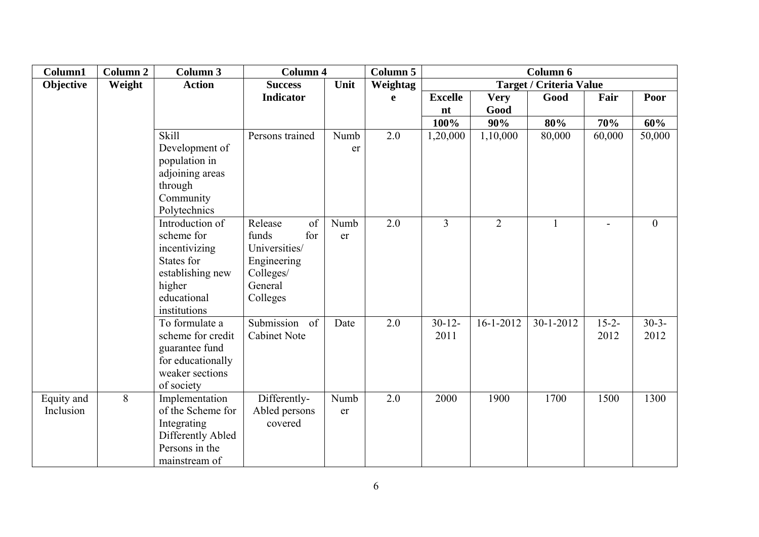| Column1    | Column 2 | Column 3                       | <b>Column 4</b>      |      | Column 5 |                |                 | Column 6                       |            |                |
|------------|----------|--------------------------------|----------------------|------|----------|----------------|-----------------|--------------------------------|------------|----------------|
| Objective  | Weight   | <b>Action</b>                  | <b>Success</b>       | Unit | Weightag |                |                 | <b>Target / Criteria Value</b> |            |                |
|            |          |                                | <b>Indicator</b>     |      | e        | <b>Excelle</b> | <b>Very</b>     | Good                           | Fair       | Poor           |
|            |          |                                |                      |      |          | nt             | Good            |                                |            |                |
|            |          |                                |                      |      |          | 100%           | 90%             | 80%                            | 70%        | 60%            |
|            |          | <b>Skill</b>                   | Persons trained      | Numb | 2.0      | 1,20,000       | 1,10,000        | 80,000                         | 60,000     | 50,000         |
|            |          | Development of                 |                      | er   |          |                |                 |                                |            |                |
|            |          | population in                  |                      |      |          |                |                 |                                |            |                |
|            |          | adjoining areas                |                      |      |          |                |                 |                                |            |                |
|            |          | through                        |                      |      |          |                |                 |                                |            |                |
|            |          | Community                      |                      |      |          |                |                 |                                |            |                |
|            |          | Polytechnics                   |                      |      |          |                |                 |                                |            |                |
|            |          | Introduction of                | Release<br>of        | Numb | 2.0      | $\overline{3}$ | $\overline{2}$  | $\mathbf{1}$                   |            | $\overline{0}$ |
|            |          | scheme for                     | for<br>funds         | er   |          |                |                 |                                |            |                |
|            |          | incentivizing                  | Universities/        |      |          |                |                 |                                |            |                |
|            |          | States for<br>establishing new | Engineering          |      |          |                |                 |                                |            |                |
|            |          | higher                         | Colleges/<br>General |      |          |                |                 |                                |            |                |
|            |          | educational                    | Colleges             |      |          |                |                 |                                |            |                |
|            |          | institutions                   |                      |      |          |                |                 |                                |            |                |
|            |          | To formulate a                 | Submission<br>of     | Date | 2.0      | $30 - 12$      | $16 - 1 - 2012$ | 30-1-2012                      | $15 - 2 -$ | $30-3-$        |
|            |          | scheme for credit              | <b>Cabinet Note</b>  |      |          | 2011           |                 |                                | 2012       | 2012           |
|            |          | guarantee fund                 |                      |      |          |                |                 |                                |            |                |
|            |          | for educationally              |                      |      |          |                |                 |                                |            |                |
|            |          | weaker sections                |                      |      |          |                |                 |                                |            |                |
|            |          | of society                     |                      |      |          |                |                 |                                |            |                |
| Equity and | 8        | Implementation                 | Differently-         | Numb | 2.0      | 2000           | 1900            | 1700                           | 1500       | 1300           |
| Inclusion  |          | of the Scheme for              | Abled persons        | er   |          |                |                 |                                |            |                |
|            |          | Integrating                    | covered              |      |          |                |                 |                                |            |                |
|            |          | Differently Abled              |                      |      |          |                |                 |                                |            |                |
|            |          | Persons in the                 |                      |      |          |                |                 |                                |            |                |
|            |          | mainstream of                  |                      |      |          |                |                 |                                |            |                |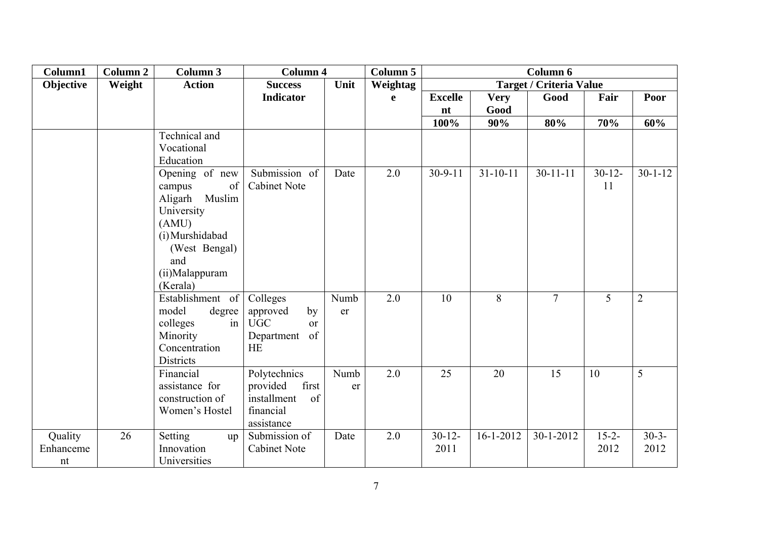| Column1   | <b>Column 2</b> | Column 3              | <b>Column 4</b>              |      | Column 5 |                |                 | Column 6                       |            |                |
|-----------|-----------------|-----------------------|------------------------------|------|----------|----------------|-----------------|--------------------------------|------------|----------------|
| Objective | Weight          | <b>Action</b>         | <b>Success</b>               | Unit | Weightag |                |                 | <b>Target / Criteria Value</b> |            |                |
|           |                 |                       | <b>Indicator</b>             |      | e        | <b>Excelle</b> | <b>Very</b>     | Good                           | Fair       | Poor           |
|           |                 |                       |                              |      |          | nt             | Good            |                                |            |                |
|           |                 |                       |                              |      |          | 100%           | 90%             | 80%                            | 70%        | 60%            |
|           |                 | Technical and         |                              |      |          |                |                 |                                |            |                |
|           |                 | Vocational            |                              |      |          |                |                 |                                |            |                |
|           |                 | Education             |                              |      |          |                |                 |                                |            |                |
|           |                 | Opening of new        | Submission of                | Date | 2.0      | $30 - 9 - 11$  | $31 - 10 - 11$  | $30 - 11 - 11$                 | $30 - 12$  | $30 - 1 - 12$  |
|           |                 | of<br>campus          | <b>Cabinet Note</b>          |      |          |                |                 |                                | 11         |                |
|           |                 | Muslim<br>Aligarh     |                              |      |          |                |                 |                                |            |                |
|           |                 | University            |                              |      |          |                |                 |                                |            |                |
|           |                 | (AMU)                 |                              |      |          |                |                 |                                |            |                |
|           |                 | (i) Murshidabad       |                              |      |          |                |                 |                                |            |                |
|           |                 | (West Bengal)         |                              |      |          |                |                 |                                |            |                |
|           |                 | and                   |                              |      |          |                |                 |                                |            |                |
|           |                 | (ii)Malappuram        |                              |      |          |                |                 |                                |            |                |
|           |                 | (Kerala)              |                              |      |          |                |                 |                                |            |                |
|           |                 | Establishment of      | Colleges                     | Numb | 2.0      | 10             | 8               | $\overline{7}$                 | 5          | $\overline{2}$ |
|           |                 | model<br>degree<br>in | approved<br>by<br><b>UGC</b> | er   |          |                |                 |                                |            |                |
|           |                 | colleges<br>Minority  | <sub>or</sub><br>of          |      |          |                |                 |                                |            |                |
|           |                 | Concentration         | Department<br><b>HE</b>      |      |          |                |                 |                                |            |                |
|           |                 | <b>Districts</b>      |                              |      |          |                |                 |                                |            |                |
|           |                 | Financial             | Polytechnics                 | Numb | 2.0      | 25             | 20              | 15                             | 10         | 5              |
|           |                 | assistance for        | first<br>provided            | er   |          |                |                 |                                |            |                |
|           |                 | construction of       | of<br>installment            |      |          |                |                 |                                |            |                |
|           |                 | Women's Hostel        | financial                    |      |          |                |                 |                                |            |                |
|           |                 |                       | assistance                   |      |          |                |                 |                                |            |                |
| Quality   | 26              | Setting<br>up         | Submission of                | Date | 2.0      | $30 - 12$      | $16 - 1 - 2012$ | $30 - 1 - 2012$                | $15 - 2 -$ | $30-3-$        |
| Enhanceme |                 | Innovation            | <b>Cabinet Note</b>          |      |          | 2011           |                 |                                | 2012       | 2012           |
| nt        |                 | Universities          |                              |      |          |                |                 |                                |            |                |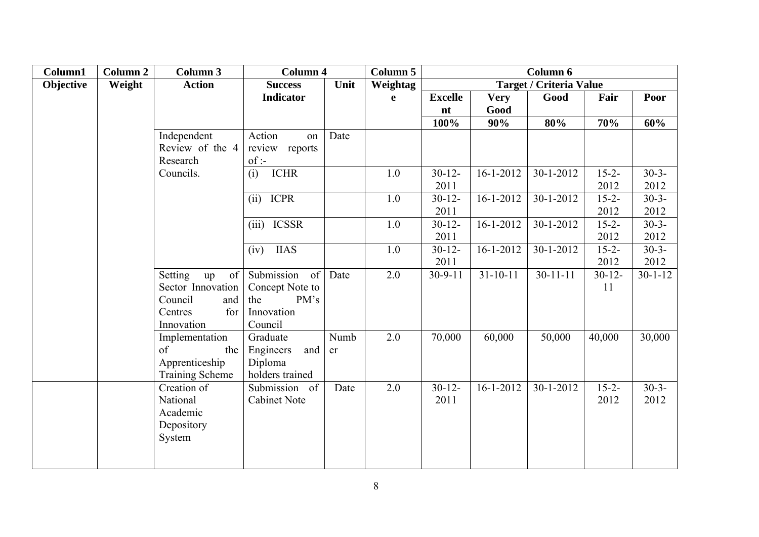| Column1   | Column 2 | Column 3               | <b>Column 4</b>     |      | Column 5    |                |                 | Column 6                       |             |               |
|-----------|----------|------------------------|---------------------|------|-------------|----------------|-----------------|--------------------------------|-------------|---------------|
| Objective | Weight   | <b>Action</b>          | <b>Success</b>      | Unit | Weightag    |                |                 | <b>Target / Criteria Value</b> |             |               |
|           |          |                        | <b>Indicator</b>    |      | $\mathbf e$ | <b>Excelle</b> | <b>Very</b>     | Good                           | Fair        | Poor          |
|           |          |                        |                     |      |             | nt             | Good            |                                |             |               |
|           |          |                        |                     |      |             | 100%           | 90%             | 80%                            | 70%         | 60%           |
|           |          | Independent            | Action<br>on        | Date |             |                |                 |                                |             |               |
|           |          | Review of the 4        | review reports      |      |             |                |                 |                                |             |               |
|           |          | Research               | $of$ :              |      |             |                |                 |                                |             |               |
|           |          | Councils.              | <b>ICHR</b><br>(i)  |      | 1.0         | $30 - 12$      | $16 - 1 - 2012$ | $30 - 1 - 2012$                | $15 - 2 -$  | $30-3-$       |
|           |          |                        |                     |      |             | 2011           |                 |                                | 2012        | 2012          |
|           |          |                        | (ii)<br><b>ICPR</b> |      | 1.0         | $30 - 12 -$    | $16 - 1 - 2012$ | $30-1-2012$                    | $15 - 2 -$  | $30-3-$       |
|           |          |                        |                     |      |             | 2011           |                 |                                | 2012        | 2012          |
|           |          |                        | (iii) ICSSR         |      | 1.0         | $30 - 12$      | $16 - 1 - 2012$ | $30 - 1 - 2012$                | $15 - 2 -$  | $30-3-$       |
|           |          |                        |                     |      |             | 2011           |                 |                                | 2012        | 2012          |
|           |          |                        | <b>IIAS</b><br>(iv) |      | 1.0         | $30 - 12 -$    | $16 - 1 - 2012$ | 30-1-2012                      | $15 - 2 -$  | $30-3-$       |
|           |          |                        |                     |      |             | 2011           |                 |                                | 2012        | 2012          |
|           |          | Setting<br>of<br>up    | Submission<br>of    | Date | 2.0         | $30 - 9 - 11$  | $31 - 10 - 11$  | $30 - 11 - 11$                 | $30 - 12 -$ | $30 - 1 - 12$ |
|           |          | Sector Innovation      | Concept Note to     |      |             |                |                 |                                | 11          |               |
|           |          | Council<br>and         | PM's<br>the         |      |             |                |                 |                                |             |               |
|           |          | Centres<br>for         | Innovation          |      |             |                |                 |                                |             |               |
|           |          | Innovation             | Council             |      |             |                |                 |                                |             |               |
|           |          | Implementation         | Graduate            | Numb | 2.0         | 70,000         | 60,000          | 50,000                         | 40,000      | 30,000        |
|           |          | of<br>the              | Engineers<br>and    | er   |             |                |                 |                                |             |               |
|           |          | Apprenticeship         | Diploma             |      |             |                |                 |                                |             |               |
|           |          | <b>Training Scheme</b> | holders trained     |      |             |                |                 |                                |             |               |
|           |          | Creation of            | Submission of       | Date | 2.0         | $30 - 12 -$    | $16 - 1 - 2012$ | $30 - 1 - 2012$                | $15 - 2 -$  | $30-3-$       |
|           |          | National               | <b>Cabinet Note</b> |      |             | 2011           |                 |                                | 2012        | 2012          |
|           |          | Academic               |                     |      |             |                |                 |                                |             |               |
|           |          | Depository             |                     |      |             |                |                 |                                |             |               |
|           |          | System                 |                     |      |             |                |                 |                                |             |               |
|           |          |                        |                     |      |             |                |                 |                                |             |               |
|           |          |                        |                     |      |             |                |                 |                                |             |               |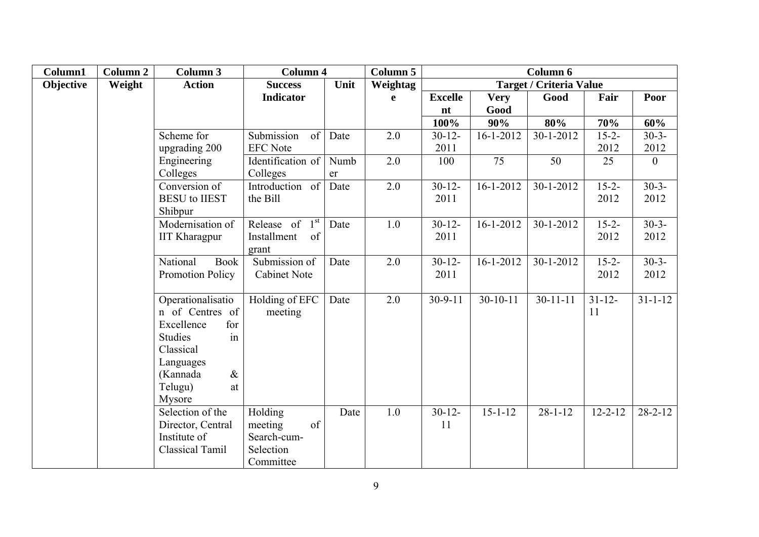| Column1   | Column <sub>2</sub> | Column 3                             | <b>Column 4</b>   |      | Column 5    |                |                 | Column 6                       |               |               |
|-----------|---------------------|--------------------------------------|-------------------|------|-------------|----------------|-----------------|--------------------------------|---------------|---------------|
| Objective | Weight              | <b>Action</b>                        | <b>Success</b>    | Unit | Weightag    |                |                 | <b>Target / Criteria Value</b> |               |               |
|           |                     |                                      | <b>Indicator</b>  |      | $\mathbf e$ | <b>Excelle</b> | <b>Very</b>     | Good                           | Fair          | Poor          |
|           |                     |                                      |                   |      |             | nt             | Good            |                                |               |               |
|           |                     |                                      |                   |      |             | 100%           | 90%             | 80%                            | 70%           | 60%           |
|           |                     | Scheme for                           | Submission<br>of  | Date | 2.0         | $30 - 12 -$    | $16 - 1 - 2012$ | 30-1-2012                      | $15 - 2 -$    | $30-3-$       |
|           |                     | upgrading 200                        | <b>EFC</b> Note   |      |             | 2011           |                 |                                | 2012          | 2012          |
|           |                     | Engineering                          | Identification of | Numb | 2.0         | 100            | 75              | 50                             | 25            | $\mathbf{0}$  |
|           |                     | Colleges                             | Colleges          | er   |             |                |                 |                                |               |               |
|           |                     | Conversion of                        | Introduction of   | Date | 2.0         | $30 - 12$      | $16 - 1 - 2012$ | $30 - 1 - 2012$                | $15 - 2 -$    | $30-3-$       |
|           |                     | <b>BESU</b> to <b>IIEST</b>          | the Bill          |      |             | 2011           |                 |                                | 2012          | 2012          |
|           |                     | Shibpur                              |                   |      |             |                |                 |                                |               |               |
|           |                     | Modernisation of                     | Release of $1st$  | Date | 1.0         | $30 - 12 -$    | $16 - 1 - 2012$ | $30 - 1 - 2012$                | $15 - 2 -$    | $30-3-$       |
|           |                     | <b>IIT Kharagpur</b>                 | Installment<br>of |      |             | 2011           |                 |                                | 2012          | 2012          |
|           |                     |                                      | grant             |      |             |                |                 |                                |               |               |
|           |                     | National<br><b>Book</b>              | Submission of     | Date | 2.0         | $30 - 12 -$    | $16 - 1 - 2012$ | $30 - 1 - 2012$                | $15 - 2 -$    | $30-3-$       |
|           |                     | Promotion Policy                     | Cabinet Note      |      |             | 2011           |                 |                                | 2012          | 2012          |
|           |                     |                                      |                   |      |             |                |                 |                                |               |               |
|           |                     | Operationalisatio<br>n of Centres of | Holding of EFC    | Date | 2.0         | $30-9-11$      | $30 - 10 - 11$  | $30 - 11 - 11$                 | $31 - 12 -$   | $31 - 1 - 12$ |
|           |                     | for<br>Excellence                    | meeting           |      |             |                |                 |                                | 11            |               |
|           |                     | <b>Studies</b><br>in                 |                   |      |             |                |                 |                                |               |               |
|           |                     | Classical                            |                   |      |             |                |                 |                                |               |               |
|           |                     | Languages                            |                   |      |             |                |                 |                                |               |               |
|           |                     | $\alpha$<br>(Kannada                 |                   |      |             |                |                 |                                |               |               |
|           |                     | Telugu)<br>at                        |                   |      |             |                |                 |                                |               |               |
|           |                     | Mysore                               |                   |      |             |                |                 |                                |               |               |
|           |                     | Selection of the                     | Holding           | Date | 1.0         | $30-12-$       | $15 - 1 - 12$   | $28 - 1 - 12$                  | $12 - 2 - 12$ | $28 - 2 - 12$ |
|           |                     | Director, Central                    | meeting<br>of     |      |             | 11             |                 |                                |               |               |
|           |                     | Institute of                         | Search-cum-       |      |             |                |                 |                                |               |               |
|           |                     | Classical Tamil                      | Selection         |      |             |                |                 |                                |               |               |
|           |                     |                                      | Committee         |      |             |                |                 |                                |               |               |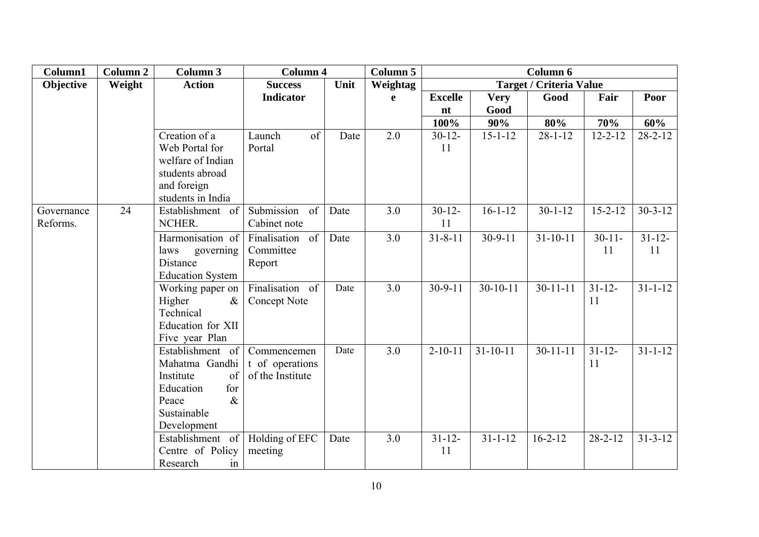| Column1                | Column 2 | <b>Column 3</b>                                                                                                          | <b>Column 4</b>                                    |      | Column 5     |                   |                | Column 6                       |                   |                   |
|------------------------|----------|--------------------------------------------------------------------------------------------------------------------------|----------------------------------------------------|------|--------------|-------------------|----------------|--------------------------------|-------------------|-------------------|
| Objective              | Weight   | <b>Action</b>                                                                                                            | <b>Success</b>                                     | Unit | Weightag     |                   |                | <b>Target / Criteria Value</b> |                   |                   |
|                        |          |                                                                                                                          | <b>Indicator</b>                                   |      | $\mathbf{e}$ | <b>Excelle</b>    | <b>Very</b>    | Good                           | Fair              | Poor              |
|                        |          |                                                                                                                          |                                                    |      |              | nt                | Good           |                                |                   |                   |
|                        |          |                                                                                                                          |                                                    |      |              | 100%              | 90%            | 80%                            | 70%               | 60%               |
|                        |          | Creation of a<br>Web Portal for<br>welfare of Indian<br>students abroad<br>and foreign<br>students in India              | of<br>Launch<br>Portal                             | Date | 2.0          | $30 - 12 -$<br>11 | $15 - 1 - 12$  | $28 - 1 - 12$                  | $12 - 2 - 12$     | $28 - 2 - 12$     |
| Governance<br>Reforms. | 24       | Establishment of<br>NCHER.                                                                                               | Submission<br>of<br>Cabinet note                   | Date | 3.0          | $30-12-$<br>11    | $16 - 1 - 12$  | $30 - 1 - 12$                  | $15 - 2 - 12$     | $30 - 3 - 12$     |
|                        |          | Harmonisation of<br>laws<br>governing<br>Distance<br><b>Education System</b>                                             | Finalisation<br>of<br>Committee<br>Report          | Date | 3.0          | $31 - 8 - 11$     | $30 - 9 - 11$  | $31 - 10 - 11$                 | $30-11-$<br>11    | $31 - 12 -$<br>11 |
|                        |          | Working paper on<br>Higher<br>$\&$<br>Technical<br>Education for XII<br>Five year Plan                                   | Finalisation of<br>Concept Note                    | Date | 3.0          | $30 - 9 - 11$     | $30-10-11$     | $30 - 11 - 11$                 | $31 - 12 -$<br>11 | $31 - 1 - 12$     |
|                        |          | Establishment of<br>Mahatma Gandhi<br>Institute<br>of<br>Education<br>for<br>$\&$<br>Peace<br>Sustainable<br>Development | Commencemen<br>t of operations<br>of the Institute | Date | 3.0          | $2 - 10 - 11$     | $31 - 10 - 11$ | $30 - 11 - 11$                 | $31 - 12$<br>11   | $31 - 1 - 12$     |
|                        |          | Establishment of<br>Centre of Policy<br>Research<br>in                                                                   | Holding of EFC<br>meeting                          | Date | 3.0          | $31 - 12 -$<br>11 | $31 - 1 - 12$  | $16 - 2 - 12$                  | $28 - 2 - 12$     | $31 - 3 - 12$     |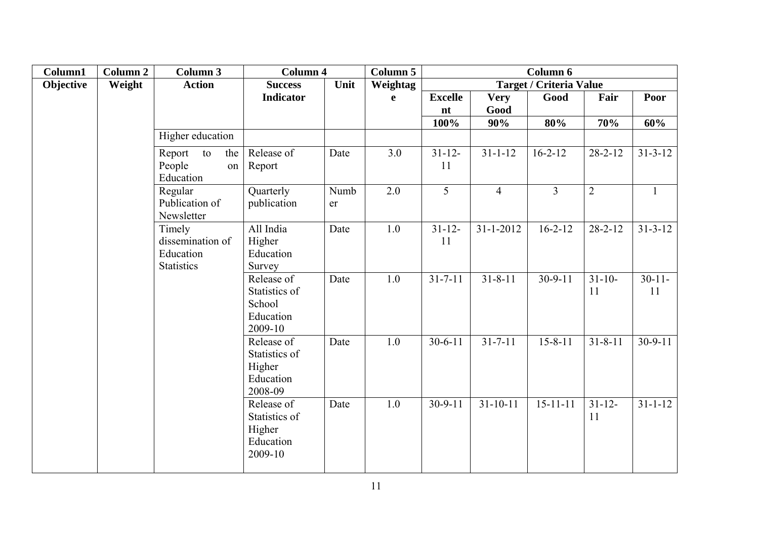| Column1   | <b>Column 2</b> | Column 3                                                                                                | <b>Column 4</b>                                               |            | Column 5      |                   |                 | Column 6                       |                 |                |
|-----------|-----------------|---------------------------------------------------------------------------------------------------------|---------------------------------------------------------------|------------|---------------|-------------------|-----------------|--------------------------------|-----------------|----------------|
| Objective | Weight          | <b>Action</b>                                                                                           | <b>Success</b>                                                | Unit       | Weightag      |                   |                 | <b>Target / Criteria Value</b> |                 |                |
|           |                 |                                                                                                         | <b>Indicator</b>                                              |            | $\mathbf e$   | <b>Excelle</b>    | <b>Very</b>     | Good                           | Fair            | Poor           |
|           |                 |                                                                                                         |                                                               |            |               | nt                | Good            |                                |                 |                |
|           |                 |                                                                                                         |                                                               |            |               | 100%              | 90%             | 80%                            | 70%             | 60%            |
|           |                 | Higher education                                                                                        |                                                               |            |               |                   |                 |                                |                 |                |
|           |                 | Report<br>the<br>to<br>People<br>on<br>Education                                                        | Release of<br>Report                                          | Date       | 3.0           | $31 - 12 -$<br>11 | $31 - 1 - 12$   | $16 - 2 - 12$                  | $28 - 2 - 12$   | $31 - 3 - 12$  |
|           |                 | Regular<br>Publication of<br>Newsletter<br>Timely<br>dissemination of<br>Education<br><b>Statistics</b> | Quarterly<br>publication                                      | Numb<br>er | 2.0           | 5                 | $\overline{4}$  | $\overline{3}$                 | $\overline{2}$  | $\mathbf{1}$   |
|           |                 |                                                                                                         | All India<br>Higher<br>Education<br>Survey                    | Date       | 1.0           | $31 - 12 -$<br>11 | $31 - 1 - 2012$ | $16 - 2 - 12$                  | $28 - 2 - 12$   | $31 - 3 - 12$  |
|           |                 |                                                                                                         | Release of<br>Statistics of<br>School<br>Education<br>2009-10 | Date       | 1.0           | $31 - 7 - 11$     | $31 - 8 - 11$   | $30 - 9 - 11$                  | $31 - 10$<br>11 | $30-11-$<br>11 |
|           |                 |                                                                                                         | Release of<br>Statistics of<br>Higher<br>Education<br>2008-09 | Date       | 1.0           | $30 - 6 - 11$     | $31 - 7 - 11$   | $15 - 8 - 11$                  | $31 - 8 - 11$   | $30-9-11$      |
|           |                 | Release of<br>Statistics of<br>Higher<br>Education<br>2009-10                                           | Date                                                          | 1.0        | $30 - 9 - 11$ | $31 - 10 - 11$    | $15 - 11 - 11$  | $31 - 12 -$<br>11              | $31 - 1 - 12$   |                |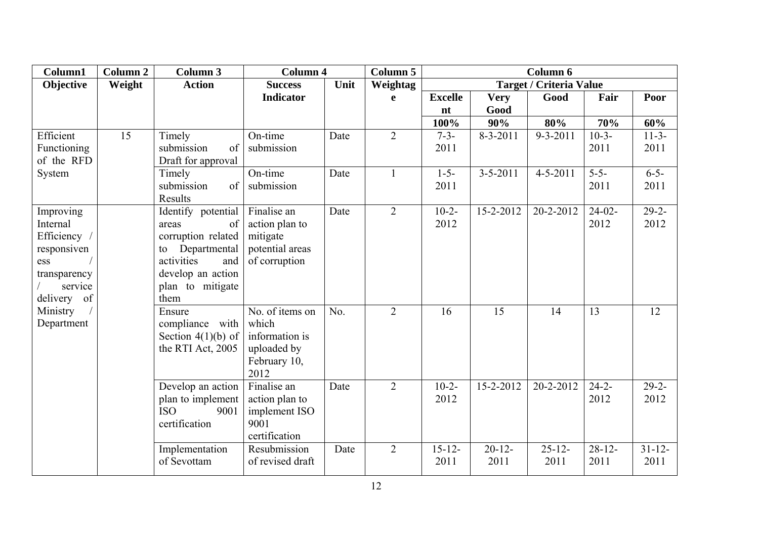| Column1                                                                                               | Column 2 | Column 3                                                                                                                                            | <b>Column 4</b>                                                                   |      | Column $\overline{5}$ |                     |                   | Column 6                       |                     |                     |
|-------------------------------------------------------------------------------------------------------|----------|-----------------------------------------------------------------------------------------------------------------------------------------------------|-----------------------------------------------------------------------------------|------|-----------------------|---------------------|-------------------|--------------------------------|---------------------|---------------------|
| Objective                                                                                             | Weight   | <b>Action</b>                                                                                                                                       | <b>Success</b>                                                                    | Unit | Weightag              |                     |                   | <b>Target / Criteria Value</b> |                     |                     |
|                                                                                                       |          |                                                                                                                                                     | <b>Indicator</b>                                                                  |      | e                     | <b>Excelle</b>      | <b>Very</b>       | Good                           | Fair                | Poor                |
|                                                                                                       |          |                                                                                                                                                     |                                                                                   |      |                       | nt                  | Good              |                                |                     |                     |
|                                                                                                       |          |                                                                                                                                                     |                                                                                   |      |                       | 100%                | 90%               | 80%                            | 70%                 | 60%                 |
| Efficient<br>Functioning<br>of the RFD                                                                | 15       | Timely<br>submission<br>of<br>Draft for approval                                                                                                    | On-time<br>submission                                                             | Date | $\overline{2}$        | $7 - 3 -$<br>2011   | $8 - 3 - 2011$    | $9 - 3 - 2011$                 | $10-3-$<br>2011     | $11-3-$<br>2011     |
| System                                                                                                |          | Timely<br>submission<br>of<br>Results                                                                                                               | On-time<br>submission                                                             | Date | $\mathbf{1}$          | $1 - 5 -$<br>2011   | $3 - 5 - 2011$    | $4 - 5 - 2011$                 | $5 - 5 -$<br>2011   | $6 - 5 -$<br>2011   |
| Improving<br>Internal<br>Efficiency /<br>responsiven<br>ess<br>transparency<br>service<br>delivery of |          | Identify potential<br>of<br>areas<br>corruption related<br>Departmental<br>to<br>activities<br>and<br>develop an action<br>plan to mitigate<br>them | Finalise an<br>action plan to<br>mitigate<br>potential areas<br>of corruption     | Date | $\overline{2}$        | $10-2-$<br>2012     | 15-2-2012         | 20-2-2012                      | $24-02-$<br>2012    | $29 - 2 -$<br>2012  |
| Ministry<br>Department                                                                                |          | Ensure<br>compliance with<br>Section $4(1)(b)$ of<br>the RTI Act, 2005                                                                              | No. of items on<br>which<br>information is<br>uploaded by<br>February 10,<br>2012 | No.  | $\overline{2}$        | 16                  | 15                | 14                             | 13                  | 12                  |
|                                                                                                       |          | Develop an action<br>plan to implement<br><b>ISO</b><br>9001<br>certification                                                                       | Finalise an<br>action plan to<br>implement ISO<br>9001<br>certification           | Date | $\overline{2}$        | $10-2-$<br>2012     | 15-2-2012         | 20-2-2012                      | $24 - 2 -$<br>2012  | $29-2-$<br>2012     |
|                                                                                                       |          | Implementation<br>of Sevottam                                                                                                                       | Resubmission<br>of revised draft                                                  | Date | $\overline{2}$        | $15 - 12 -$<br>2011 | $20 - 12$<br>2011 | $25 - 12 -$<br>2011            | $28 - 12 -$<br>2011 | $31 - 12 -$<br>2011 |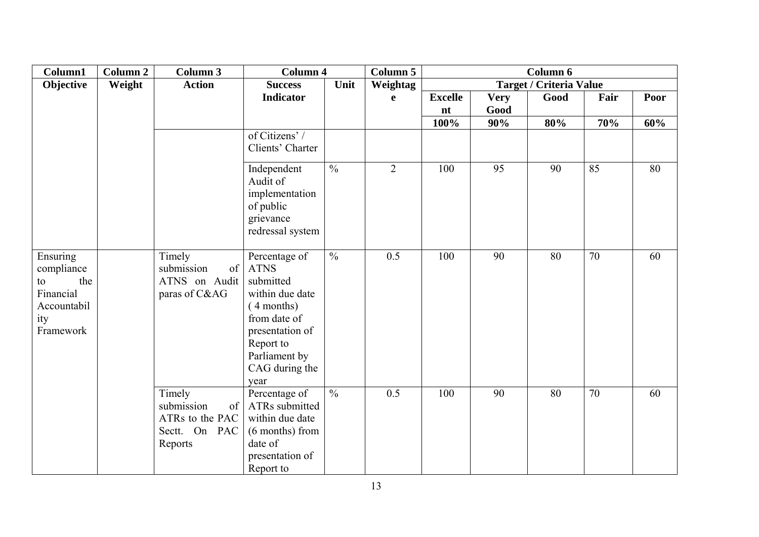| Column1                                                                             | Column 2 | Column 3                                                                  | <b>Column 4</b>                                                                                                                                                       |                          | Column 5       |                      |                     | Column 6                       |      |      |
|-------------------------------------------------------------------------------------|----------|---------------------------------------------------------------------------|-----------------------------------------------------------------------------------------------------------------------------------------------------------------------|--------------------------|----------------|----------------------|---------------------|--------------------------------|------|------|
| Objective                                                                           | Weight   | <b>Action</b>                                                             | <b>Success</b>                                                                                                                                                        | Unit                     | Weightag       |                      |                     | <b>Target / Criteria Value</b> |      |      |
|                                                                                     |          |                                                                           | <b>Indicator</b>                                                                                                                                                      |                          | $\mathbf e$    | <b>Excelle</b><br>nt | <b>Very</b><br>Good | Good                           | Fair | Poor |
|                                                                                     |          |                                                                           |                                                                                                                                                                       |                          |                | 100%                 | 90%                 | 80%                            | 70%  | 60%  |
|                                                                                     |          |                                                                           | of Citizens' /<br>Clients' Charter                                                                                                                                    |                          |                |                      |                     |                                |      |      |
|                                                                                     |          |                                                                           | Independent<br>Audit of<br>implementation<br>of public<br>grievance<br>redressal system                                                                               | $\overline{\frac{0}{0}}$ | $\overline{2}$ | 100                  | 95                  | 90                             | 85   | 80   |
| Ensuring<br>compliance<br>the<br>to<br>Financial<br>Accountabil<br>ity<br>Framework |          | Timely<br>submission<br>of<br>ATNS on Audit<br>paras of C&AG              | Percentage of<br><b>ATNS</b><br>submitted<br>within due date<br>(4 months)<br>from date of<br>presentation of<br>Report to<br>Parliament by<br>CAG during the<br>year | $\frac{0}{0}$            | 0.5            | 100                  | 90                  | 80                             | 70   | 60   |
|                                                                                     |          | Timely<br>submission<br>of<br>ATRs to the PAC<br>Sectt. On PAC<br>Reports | Percentage of<br>ATRs submitted<br>within due date<br>(6 months) from<br>date of<br>presentation of<br>Report to                                                      | $\frac{0}{0}$            | 0.5            | 100                  | 90                  | 80                             | 70   | 60   |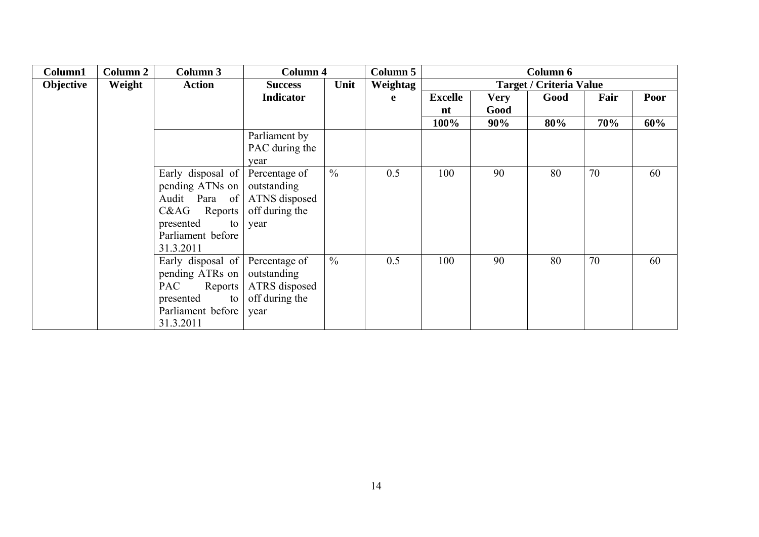| Column1   | Column 2 | Column 3              | Column 4         |               | Column 5 |                |             | Column 6                       |      |      |
|-----------|----------|-----------------------|------------------|---------------|----------|----------------|-------------|--------------------------------|------|------|
| Objective | Weight   | <b>Action</b>         | <b>Success</b>   | Unit          | Weightag |                |             | <b>Target / Criteria Value</b> |      |      |
|           |          |                       | <b>Indicator</b> |               | e        | <b>Excelle</b> | <b>Very</b> | Good                           | Fair | Poor |
|           |          |                       |                  |               |          | nt             | Good        |                                |      |      |
|           |          |                       |                  |               |          | 100%           | 90%         | 80%                            | 70%  | 60%  |
|           |          |                       | Parliament by    |               |          |                |             |                                |      |      |
|           |          |                       | PAC during the   |               |          |                |             |                                |      |      |
|           |          |                       | year             |               |          |                |             |                                |      |      |
|           |          | Early disposal of     | Percentage of    | $\frac{0}{0}$ | 0.5      | 100            | 90          | 80                             | 70   | 60   |
|           |          | pending ATNs on       | outstanding      |               |          |                |             |                                |      |      |
|           |          | Audit Para of         | ATNS disposed    |               |          |                |             |                                |      |      |
|           |          | C&AG<br>Reports       | off during the   |               |          |                |             |                                |      |      |
|           |          | presented<br>to       | year             |               |          |                |             |                                |      |      |
|           |          | Parliament before     |                  |               |          |                |             |                                |      |      |
|           |          | 31.3.2011             |                  |               |          |                |             |                                |      |      |
|           |          | Early disposal of     | Percentage of    | $\frac{0}{0}$ | 0.5      | 100            | 90          | 80                             | 70   | 60   |
|           |          | pending ATRs on       | outstanding      |               |          |                |             |                                |      |      |
|           |          | <b>PAC</b><br>Reports | ATRS disposed    |               |          |                |             |                                |      |      |
|           |          | presented<br>to       | off during the   |               |          |                |             |                                |      |      |
|           |          | Parliament before     | year             |               |          |                |             |                                |      |      |
|           |          | 31.3.2011             |                  |               |          |                |             |                                |      |      |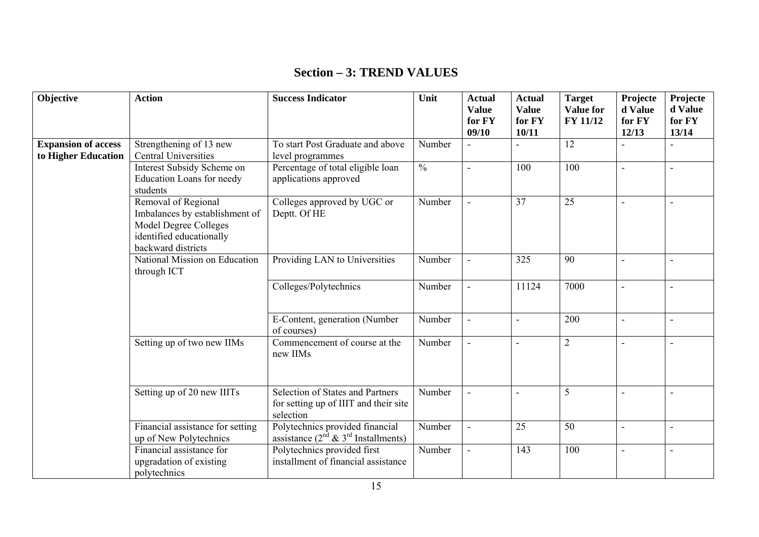# **Section – 3: TREND VALUES**

| Objective                                         | <b>Action</b>                                                                                                                           | <b>Success Indicator</b>                                                                      | Unit                     | <b>Actual</b><br><b>Value</b><br>for FY<br>09/10 | <b>Actual</b><br><b>Value</b><br>for FY<br>10/11 | <b>Target</b><br><b>Value for</b><br>FY 11/12 | Projecte<br>d Value<br>for FY<br>12/13 | Projecte<br>d Value<br>for FY<br>13/14 |
|---------------------------------------------------|-----------------------------------------------------------------------------------------------------------------------------------------|-----------------------------------------------------------------------------------------------|--------------------------|--------------------------------------------------|--------------------------------------------------|-----------------------------------------------|----------------------------------------|----------------------------------------|
| <b>Expansion of access</b><br>to Higher Education | Strengthening of 13 new<br><b>Central Universities</b>                                                                                  | To start Post Graduate and above<br>level programmes                                          | Number                   |                                                  |                                                  | 12                                            |                                        |                                        |
|                                                   | Interest Subsidy Scheme on<br><b>Education Loans for needy</b><br>students                                                              | Percentage of total eligible loan<br>applications approved                                    | $\overline{\frac{0}{0}}$ | $\blacksquare$                                   | 100                                              | 100                                           |                                        |                                        |
|                                                   | Removal of Regional<br>Imbalances by establishment of<br><b>Model Degree Colleges</b><br>identified educationally<br>backward districts | Colleges approved by UGC or<br>Deptt. Of HE                                                   | Number                   | $\blacksquare$                                   | 37                                               | 25                                            |                                        | $\overline{\phantom{a}}$               |
|                                                   | National Mission on Education<br>through ICT                                                                                            | Providing LAN to Universities                                                                 | Number                   | $\blacksquare$                                   | 325                                              | 90                                            |                                        |                                        |
|                                                   |                                                                                                                                         | Colleges/Polytechnics                                                                         | Number                   | $\blacksquare$                                   | 11124                                            | 7000                                          |                                        |                                        |
|                                                   |                                                                                                                                         | E-Content, generation (Number<br>of courses)                                                  | Number                   |                                                  | Ē,                                               | 200                                           |                                        |                                        |
|                                                   | Setting up of two new IIMs                                                                                                              | Commencement of course at the<br>new IIMs                                                     | Number                   |                                                  | L,                                               | $\overline{2}$                                |                                        |                                        |
|                                                   | Setting up of 20 new IIITs                                                                                                              | <b>Selection of States and Partners</b><br>for setting up of IIIT and their site<br>selection | Number                   | $\blacksquare$                                   | L,                                               | 5                                             |                                        |                                        |
|                                                   | Financial assistance for setting<br>up of New Polytechnics                                                                              | Polytechnics provided financial<br>assistance $(2^{nd} \& 3^{rd}$ Installments)               | Number                   | $\blacksquare$                                   | 25                                               | 50                                            | $\blacksquare$                         |                                        |
|                                                   | Financial assistance for<br>upgradation of existing<br>polytechnics                                                                     | Polytechnics provided first<br>installment of financial assistance                            | Number                   | $\blacksquare$                                   | 143                                              | 100                                           |                                        |                                        |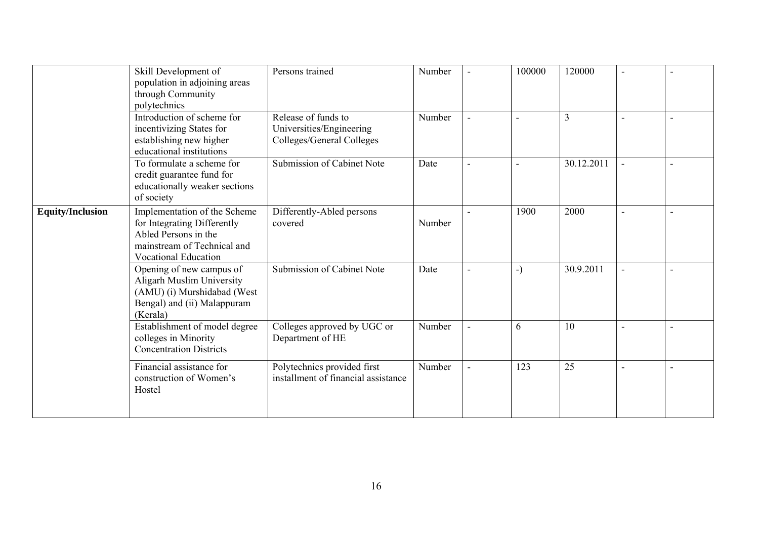|                         | Skill Development of<br>population in adjoining areas<br>through Community<br>polytechnics                                                        | Persons trained                                                              | Number | 100000        | 120000         | $\blacksquare$ |  |
|-------------------------|---------------------------------------------------------------------------------------------------------------------------------------------------|------------------------------------------------------------------------------|--------|---------------|----------------|----------------|--|
|                         | Introduction of scheme for<br>incentivizing States for<br>establishing new higher<br>educational institutions                                     | Release of funds to<br>Universities/Engineering<br>Colleges/General Colleges | Number |               | $\overline{3}$ |                |  |
|                         | To formulate a scheme for<br>credit guarantee fund for<br>educationally weaker sections<br>of society                                             | Submission of Cabinet Note                                                   | Date   |               | 30.12.2011     |                |  |
| <b>Equity/Inclusion</b> | Implementation of the Scheme<br>for Integrating Differently<br>Abled Persons in the<br>mainstream of Technical and<br><b>Vocational Education</b> | Differently-Abled persons<br>covered                                         | Number | 1900          | 2000           |                |  |
|                         | Opening of new campus of<br>Aligarh Muslim University<br>(AMU) (i) Murshidabad (West<br>Bengal) and (ii) Malappuram<br>(Kerala)                   | Submission of Cabinet Note                                                   | Date   | $\rightarrow$ | 30.9.2011      |                |  |
|                         | Establishment of model degree<br>colleges in Minority<br><b>Concentration Districts</b>                                                           | Colleges approved by UGC or<br>Department of HE                              | Number | 6             | 10             | $\overline{a}$ |  |
|                         | Financial assistance for<br>construction of Women's<br>Hostel                                                                                     | Polytechnics provided first<br>installment of financial assistance           | Number | 123           | 25             |                |  |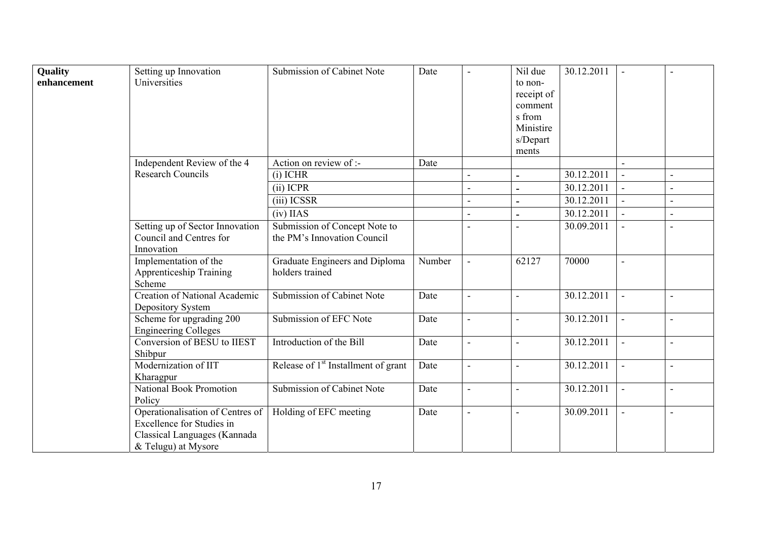| Quality<br>enhancement | Setting up Innovation<br>Universities                                                                                       | Submission of Cabinet Note                                   | Date   | $\blacksquare$ | Nil due<br>to non-<br>receipt of<br>comment<br>s from<br>Ministire<br>s/Depart<br>ments | 30.12.2011 |  |
|------------------------|-----------------------------------------------------------------------------------------------------------------------------|--------------------------------------------------------------|--------|----------------|-----------------------------------------------------------------------------------------|------------|--|
|                        | Independent Review of the 4                                                                                                 | Action on review of :-                                       | Date   |                |                                                                                         |            |  |
|                        | <b>Research Councils</b>                                                                                                    | $(i)$ ICHR                                                   |        |                |                                                                                         | 30.12.2011 |  |
|                        |                                                                                                                             | (ii) ICPR                                                    |        |                |                                                                                         | 30.12.2011 |  |
|                        |                                                                                                                             | (iii) ICSSR                                                  |        |                |                                                                                         | 30.12.2011 |  |
|                        |                                                                                                                             | $(iv)$ IIAS                                                  |        |                | $\blacksquare$                                                                          | 30.12.2011 |  |
|                        | Setting up of Sector Innovation<br>Council and Centres for<br>Innovation                                                    | Submission of Concept Note to<br>the PM's Innovation Council |        |                |                                                                                         | 30.09.2011 |  |
|                        | Implementation of the<br><b>Apprenticeship Training</b><br>Scheme                                                           | Graduate Engineers and Diploma<br>holders trained            | Number |                | 62127                                                                                   | 70000      |  |
|                        | Creation of National Academic<br>Depository System                                                                          | <b>Submission of Cabinet Note</b>                            | Date   |                | $\blacksquare$                                                                          | 30.12.2011 |  |
|                        | Scheme for upgrading 200<br><b>Engineering Colleges</b>                                                                     | Submission of EFC Note                                       | Date   | $\blacksquare$ | L,                                                                                      | 30.12.2011 |  |
|                        | Conversion of BESU to IIEST<br>Shibpur                                                                                      | Introduction of the Bill                                     | Date   | $\blacksquare$ | L,                                                                                      | 30.12.2011 |  |
|                        | Modernization of IIT<br>Kharagpur                                                                                           | Release of 1 <sup>st</sup> Installment of grant              | Date   | $\blacksquare$ | ÷,                                                                                      | 30.12.2011 |  |
|                        | National Book Promotion<br>Policy                                                                                           | <b>Submission of Cabinet Note</b>                            | Date   | $\blacksquare$ |                                                                                         | 30.12.2011 |  |
|                        | Operationalisation of Centres of<br><b>Excellence for Studies in</b><br>Classical Languages (Kannada<br>& Telugu) at Mysore | Holding of EFC meeting                                       | Date   | $\sim$         | $\blacksquare$                                                                          | 30.09.2011 |  |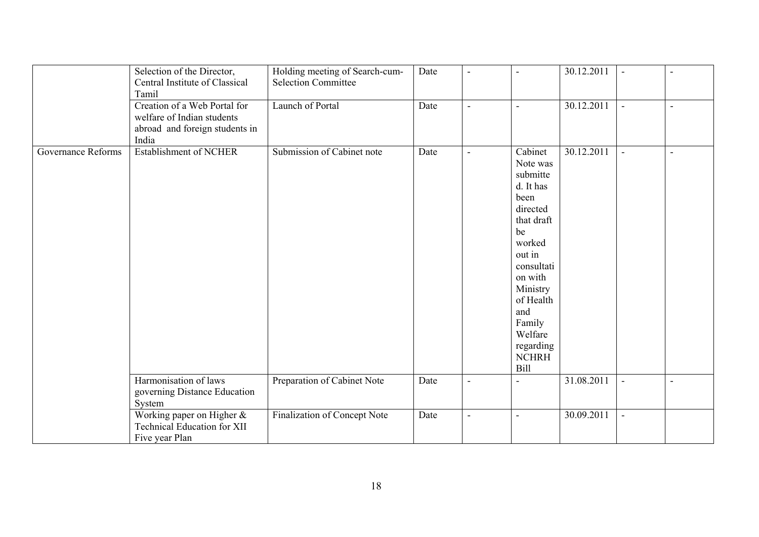|                    | Selection of the Director,<br>Central Institute of Classical<br>Tamil                                 | Holding meeting of Search-cum-<br><b>Selection Committee</b> | Date | $\blacksquare$           |                                                                                                                                                                                                                             | 30.12.2011 | $\blacksquare$ | $\blacksquare$ |
|--------------------|-------------------------------------------------------------------------------------------------------|--------------------------------------------------------------|------|--------------------------|-----------------------------------------------------------------------------------------------------------------------------------------------------------------------------------------------------------------------------|------------|----------------|----------------|
|                    | Creation of a Web Portal for<br>welfare of Indian students<br>abroad and foreign students in<br>India | Launch of Portal                                             | Date | $\overline{\phantom{a}}$ | $\blacksquare$                                                                                                                                                                                                              | 30.12.2011 | $\blacksquare$ | $\blacksquare$ |
| Governance Reforms | <b>Establishment of NCHER</b>                                                                         | Submission of Cabinet note                                   | Date | $\blacksquare$           | Cabinet<br>Note was<br>submitte<br>d. It has<br>been<br>directed<br>that draft<br>be<br>worked<br>out in<br>consultati<br>on with<br>Ministry<br>of Health<br>and<br>Family<br>Welfare<br>regarding<br>$\rm{NCHRH}$<br>Bill | 30.12.2011 |                | ÷              |
|                    | Harmonisation of laws<br>governing Distance Education<br>System                                       | Preparation of Cabinet Note                                  | Date | $\blacksquare$           | $\blacksquare$                                                                                                                                                                                                              | 31.08.2011 | $\blacksquare$ | $\blacksquare$ |
|                    | Working paper on Higher &<br><b>Technical Education for XII</b><br>Five year Plan                     | Finalization of Concept Note                                 | Date | $\blacksquare$           |                                                                                                                                                                                                                             | 30.09.2011 | $\blacksquare$ |                |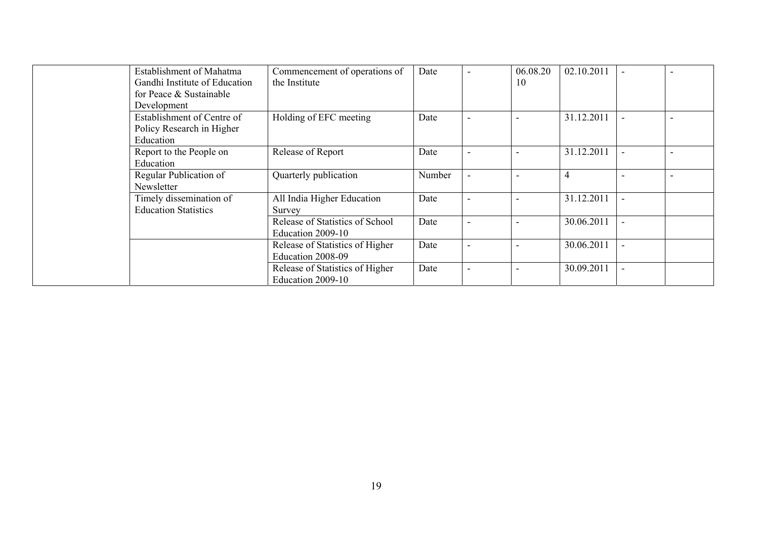| Establishment of Mahatma      | Commencement of operations of   | Date   | 06.08.20 | 02.10.2011     |  |
|-------------------------------|---------------------------------|--------|----------|----------------|--|
| Gandhi Institute of Education | the Institute                   |        | 10       |                |  |
| for Peace & Sustainable       |                                 |        |          |                |  |
| Development                   |                                 |        |          |                |  |
| Establishment of Centre of    | Holding of EFC meeting          | Date   |          | 31.12.2011     |  |
| Policy Research in Higher     |                                 |        |          |                |  |
| Education                     |                                 |        |          |                |  |
| Report to the People on       | Release of Report               | Date   |          | 31.12.2011     |  |
| Education                     |                                 |        |          |                |  |
| Regular Publication of        | Quarterly publication           | Number |          | $\overline{4}$ |  |
| Newsletter                    |                                 |        |          |                |  |
| Timely dissemination of       | All India Higher Education      | Date   |          | 31.12.2011     |  |
| <b>Education Statistics</b>   | Survey                          |        |          |                |  |
|                               | Release of Statistics of School | Date   |          | 30.06.2011     |  |
|                               | Education 2009-10               |        |          |                |  |
|                               | Release of Statistics of Higher | Date   |          | 30.06.2011     |  |
|                               | Education 2008-09               |        |          |                |  |
|                               | Release of Statistics of Higher | Date   |          | 30.09.2011     |  |
|                               | Education 2009-10               |        |          |                |  |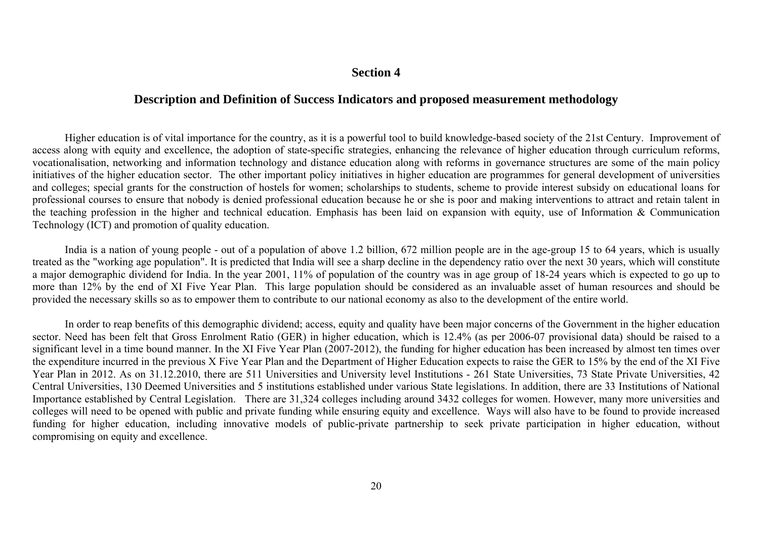#### **Section 4**

### **Description and Definition of Success Indicators and proposed measurement methodology**

 Higher education is of vital importance for the country, as it is a powerful tool to build knowledge-based society of the 21st Century. Improvement of access along with equity and excellence, the adoption of state-specific strategies, enhancing the relevance of higher education through curriculum reforms, vocationalisation, networking and information technology and distance education along with reforms in governance structures are some of the main policy initiatives of the higher education sector. The other important policy initiatives in higher education are programmes for general development of universities and colleges; special grants for the construction of hostels for women; scholarships to students, scheme to provide interest subsidy on educational loans for professional courses to ensure that nobody is denied professional education because he or she is poor and making interventions to attract and retain talent in the teaching profession in the higher and technical education. Emphasis has been laid on expansion with equity, use of Information & Communication Technology (ICT) and promotion of quality education.

 India is a nation of young people - out of a population of above 1.2 billion, 672 million people are in the age-group 15 to 64 years, which is usually treated as the "working age population". It is predicted that India will see a sharp decline in the dependency ratio over the next 30 years, which will constitute a major demographic dividend for India. In the year 2001, 11% of population of the country was in age group of 18-24 years which is expected to go up to more than 12% by the end of XI Five Year Plan. This large population should be considered as an invaluable asset of human resources and should be provided the necessary skills so as to empower them to contribute to our national economy as also to the development of the entire world.

In order to reap benefits of this demographic dividend; access, equity and quality have been major concerns of the Government in the higher education sector. Need has been felt that Gross Enrolment Ratio (GER) in higher education, which is 12.4% (as per 2006-07 provisional data) should be raised to a significant level in a time bound manner. In the XI Five Year Plan (2007-2012), the funding for higher education has been increased by almost ten times over the expenditure incurred in the previous X Five Year Plan and the Department of Higher Education expects to raise the GER to 15% by the end of the XI Five Year Plan in 2012. As on 31.12.2010, there are 511 Universities and University level Institutions - 261 State Universities, 73 State Private Universities, 42 Central Universities, 130 Deemed Universities and 5 institutions established under various State legislations. In addition, there are 33 Institutions of National Importance established by Central Legislation. There are 31,324 colleges including around 3432 colleges for women. However, many more universities and colleges will need to be opened with public and private funding while ensuring equity and excellence. Ways will also have to be found to provide increased funding for higher education, including innovative models of public-private partnership to seek private participation in higher education, without compromising on equity and excellence.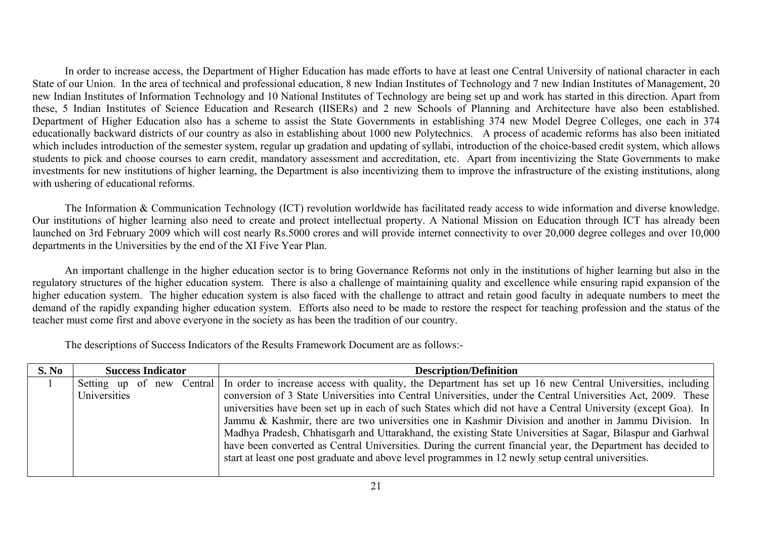In order to increase access, the Department of Higher Education has made efforts to have at least one Central University of national character in each State of our Union. In the area of technical and professional education, 8 new Indian Institutes of Technology and 7 new Indian Institutes of Management, 20 new Indian Institutes of Information Technology and 10 National Institutes of Technology are being set up and work has started in this direction. Apart from these, 5 Indian Institutes of Science Education and Research (IISERs) and 2 new Schools of Planning and Architecture have also been established. Department of Higher Education also has a scheme to assist the State Governments in establishing 374 new Model Degree Colleges, one each in 374 educationally backward districts of our country as also in establishing about 1000 new Polytechnics. A process of academic reforms has also been initiated which includes introduction of the semester system, regular up gradation and updating of syllabi, introduction of the choice-based credit system, which allows students to pick and choose courses to earn credit, mandatory assessment and accreditation, etc. Apart from incentivizing the State Governments to make investments for new institutions of higher learning, the Department is also incentivizing them to improve the infrastructure of the existing institutions, along with ushering of educational reforms.

The Information & Communication Technology (ICT) revolution worldwide has facilitated ready access to wide information and diverse knowledge. Our institutions of higher learning also need to create and protect intellectual property. A National Mission on Education through ICT has already been launched on 3rd February 2009 which will cost nearly Rs.5000 crores and will provide internet connectivity to over 20,000 degree colleges and over 10,000 departments in the Universities by the end of the XI Five Year Plan.

An important challenge in the higher education sector is to bring Governance Reforms not only in the institutions of higher learning but also in the regulatory structures of the higher education system. There is also a challenge of maintaining quality and excellence while ensuring rapid expansion of the higher education system. The higher education system is also faced with the challenge to attract and retain good faculty in adequate numbers to meet the demand of the rapidly expanding higher education system. Efforts also need to be made to restore the respect for teaching profession and the status of the teacher must come first and above everyone in the society as has been the tradition of our country.

The descriptions of Success Indicators of the Results Framework Document are as follows:-

| S. No | <b>Success Indicator</b> | <b>Description/Definition</b>                                                                                                        |
|-------|--------------------------|--------------------------------------------------------------------------------------------------------------------------------------|
|       |                          | Setting up of new Central In order to increase access with quality, the Department has set up 16 new Central Universities, including |
|       | Universities             | conversion of 3 State Universities into Central Universities, under the Central Universities Act, 2009. These                        |
|       |                          | universities have been set up in each of such States which did not have a Central University (except Goa). In                        |
|       |                          | Jammu & Kashmir, there are two universities one in Kashmir Division and another in Jammu Division. In                                |
|       |                          | Madhya Pradesh, Chhatisgarh and Uttarakhand, the existing State Universities at Sagar, Bilaspur and Garhwal                          |
|       |                          | have been converted as Central Universities. During the current financial year, the Department has decided to                        |
|       |                          | start at least one post graduate and above level programmes in 12 newly setup central universities.                                  |
|       |                          |                                                                                                                                      |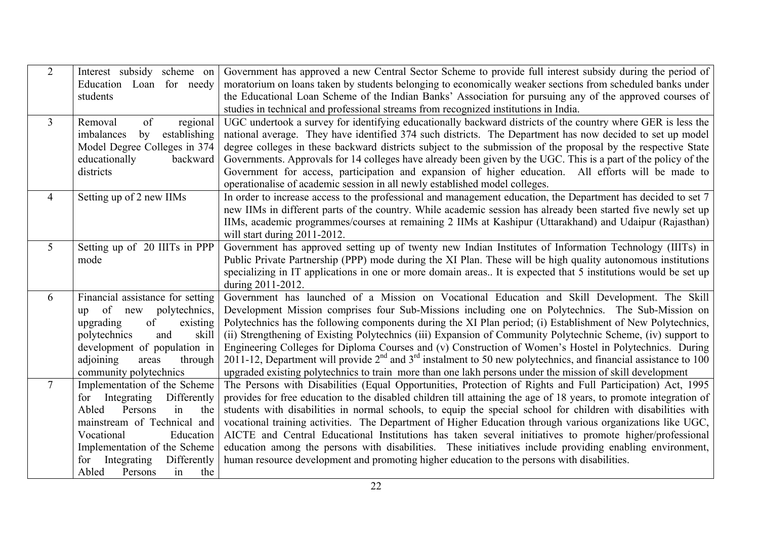| 2              | Interest subsidy scheme on        | Government has approved a new Central Sector Scheme to provide full interest subsidy during the period of                 |
|----------------|-----------------------------------|---------------------------------------------------------------------------------------------------------------------------|
|                | Education Loan for needy          | moratorium on loans taken by students belonging to economically weaker sections from scheduled banks under                |
|                | students                          | the Educational Loan Scheme of the Indian Banks' Association for pursuing any of the approved courses of                  |
|                |                                   | studies in technical and professional streams from recognized institutions in India.                                      |
| $\overline{3}$ | Removal<br>of<br>regional         | UGC undertook a survey for identifying educationally backward districts of the country where GER is less the              |
|                | imbalances<br>establishing<br>by  | national average. They have identified 374 such districts. The Department has now decided to set up model                 |
|                | Model Degree Colleges in 374      | degree colleges in these backward districts subject to the submission of the proposal by the respective State             |
|                | educationally<br>backward         | Governments. Approvals for 14 colleges have already been given by the UGC. This is a part of the policy of the            |
|                | districts                         | Government for access, participation and expansion of higher education. All efforts will be made to                       |
|                |                                   | operationalise of academic session in all newly established model colleges.                                               |
| $\overline{4}$ | Setting up of 2 new IIMs          | In order to increase access to the professional and management education, the Department has decided to set 7             |
|                |                                   | new IIMs in different parts of the country. While academic session has already been started five newly set up             |
|                |                                   | IIMs, academic programmes/courses at remaining 2 IIMs at Kashipur (Uttarakhand) and Udaipur (Rajasthan)                   |
|                |                                   | will start during 2011-2012.                                                                                              |
| $\mathfrak{S}$ | Setting up of 20 IIITs in PPP     | Government has approved setting up of twenty new Indian Institutes of Information Technology (IIITs) in                   |
|                | mode                              | Public Private Partnership (PPP) mode during the XI Plan. These will be high quality autonomous institutions              |
|                |                                   | specializing in IT applications in one or more domain areas. It is expected that 5 institutions would be set up           |
|                |                                   | during 2011-2012.                                                                                                         |
| 6              | Financial assistance for setting  | Government has launched of a Mission on Vocational Education and Skill Development. The Skill                             |
|                | of<br>new polytechnics,<br>up     | Development Mission comprises four Sub-Missions including one on Polytechnics. The Sub-Mission on                         |
|                | upgrading<br>of<br>existing       | Polytechnics has the following components during the XI Plan period; (i) Establishment of New Polytechnics,               |
|                | and<br>polytechnics<br>skill      | (ii) Strengthening of Existing Polytechnics (iii) Expansion of Community Polytechnic Scheme, (iv) support to              |
|                | development of population in      | Engineering Colleges for Diploma Courses and (v) Construction of Women's Hostel in Polytechnics. During                   |
|                | adjoining<br>through<br>areas     | 2011-12, Department will provide $2^{nd}$ and $3^{rd}$ instalment to 50 new polytechnics, and financial assistance to 100 |
|                | community polytechnics            | upgraded existing polytechnics to train more than one lakh persons under the mission of skill development                 |
| $\tau$         | Implementation of the Scheme      | The Persons with Disabilities (Equal Opportunities, Protection of Rights and Full Participation) Act, 1995                |
|                | Integrating<br>Differently<br>for | provides for free education to the disabled children till attaining the age of 18 years, to promote integration of        |
|                | Persons<br>the<br>Abled<br>in     | students with disabilities in normal schools, to equip the special school for children with disabilities with             |
|                | mainstream of Technical and       | vocational training activities. The Department of Higher Education through various organizations like UGC,                |
|                | Vocational<br>Education           | AICTE and Central Educational Institutions has taken several initiatives to promote higher/professional                   |
|                | Implementation of the Scheme      | education among the persons with disabilities. These initiatives include providing enabling environment,                  |
|                | Integrating<br>Differently<br>for | human resource development and promoting higher education to the persons with disabilities.                               |
|                | Abled<br>Persons<br>the<br>in     |                                                                                                                           |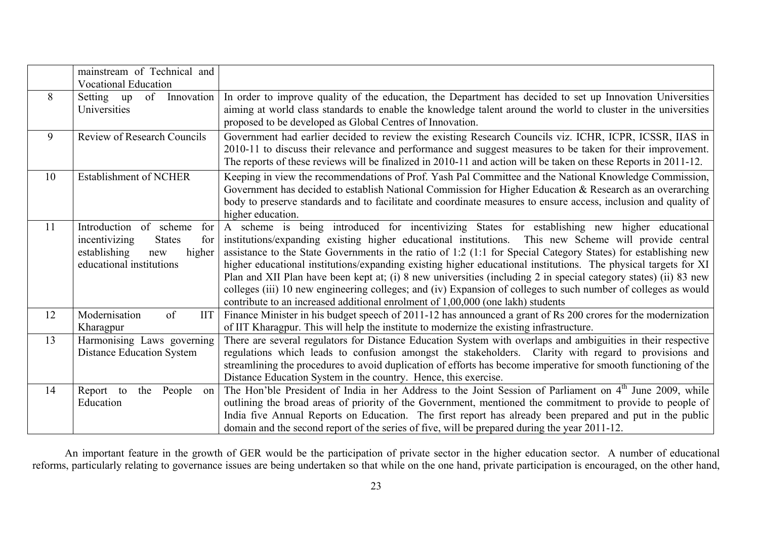|    | mainstream of Technical and<br><b>Vocational Education</b>                                                                          |                                                                                                                                                                                                                                                                                                                                                                                                                                                                                                                                                                                                                                                                                                                                                                      |
|----|-------------------------------------------------------------------------------------------------------------------------------------|----------------------------------------------------------------------------------------------------------------------------------------------------------------------------------------------------------------------------------------------------------------------------------------------------------------------------------------------------------------------------------------------------------------------------------------------------------------------------------------------------------------------------------------------------------------------------------------------------------------------------------------------------------------------------------------------------------------------------------------------------------------------|
| 8  | Innovation<br>of<br>Setting up<br>Universities                                                                                      | In order to improve quality of the education, the Department has decided to set up Innovation Universities<br>aiming at world class standards to enable the knowledge talent around the world to cluster in the universities<br>proposed to be developed as Global Centres of Innovation.                                                                                                                                                                                                                                                                                                                                                                                                                                                                            |
| 9  | <b>Review of Research Councils</b>                                                                                                  | Government had earlier decided to review the existing Research Councils viz. ICHR, ICPR, ICSSR, IIAS in<br>2010-11 to discuss their relevance and performance and suggest measures to be taken for their improvement.<br>The reports of these reviews will be finalized in 2010-11 and action will be taken on these Reports in 2011-12.                                                                                                                                                                                                                                                                                                                                                                                                                             |
| 10 | Establishment of NCHER                                                                                                              | Keeping in view the recommendations of Prof. Yash Pal Committee and the National Knowledge Commission,<br>Government has decided to establish National Commission for Higher Education & Research as an overarching<br>body to preserve standards and to facilitate and coordinate measures to ensure access, inclusion and quality of<br>higher education.                                                                                                                                                                                                                                                                                                                                                                                                          |
| 11 | Introduction of scheme<br>for<br>incentivizing<br><b>States</b><br>for<br>establishing<br>higher<br>new<br>educational institutions | A scheme is being introduced for incentivizing States for establishing new higher educational<br>institutions/expanding existing higher educational institutions. This new Scheme will provide central<br>assistance to the State Governments in the ratio of 1:2 (1:1 for Special Category States) for establishing new<br>higher educational institutions/expanding existing higher educational institutions. The physical targets for XI<br>Plan and XII Plan have been kept at; (i) 8 new universities (including 2 in special category states) (ii) 83 new<br>colleges (iii) 10 new engineering colleges; and (iv) Expansion of colleges to such number of colleges as would<br>contribute to an increased additional enrolment of 1,00,000 (one lakh) students |
| 12 | Modernisation<br>of<br><b>IIT</b><br>Kharagpur                                                                                      | Finance Minister in his budget speech of 2011-12 has announced a grant of Rs 200 crores for the modernization<br>of IIT Kharagpur. This will help the institute to modernize the existing infrastructure.                                                                                                                                                                                                                                                                                                                                                                                                                                                                                                                                                            |
| 13 | Harmonising Laws governing<br><b>Distance Education System</b>                                                                      | There are several regulators for Distance Education System with overlaps and ambiguities in their respective<br>regulations which leads to confusion amongst the stakeholders. Clarity with regard to provisions and<br>streamlining the procedures to avoid duplication of efforts has become imperative for smooth functioning of the<br>Distance Education System in the country. Hence, this exercise.                                                                                                                                                                                                                                                                                                                                                           |
| 14 | Report to<br>People<br>the<br>on<br>Education                                                                                       | The Hon'ble President of India in her Address to the Joint Session of Parliament on 4 <sup>th</sup> June 2009, while<br>outlining the broad areas of priority of the Government, mentioned the commitment to provide to people of<br>India five Annual Reports on Education. The first report has already been prepared and put in the public<br>domain and the second report of the series of five, will be prepared during the year 2011-12.                                                                                                                                                                                                                                                                                                                       |

An important feature in the growth of GER would be the participation of private sector in the higher education sector. A number of educational reforms, particularly relating to governance issues are being undertaken so that while on the one hand, private participation is encouraged, on the other hand,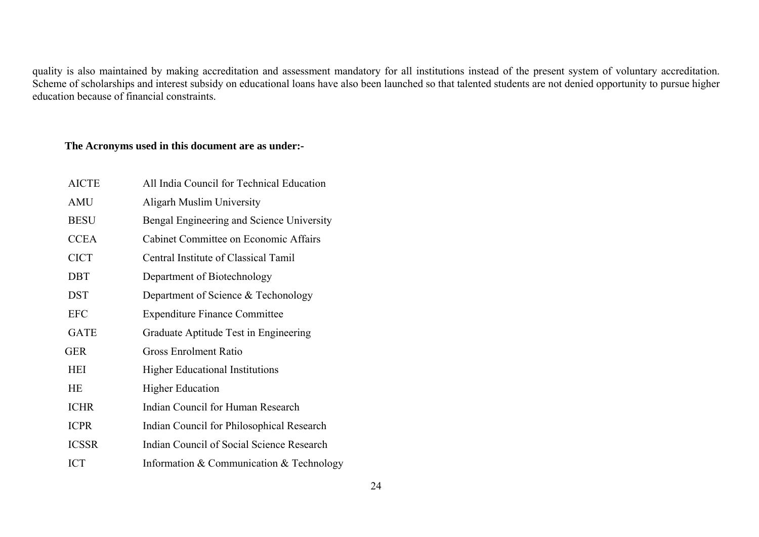quality is also maintained by making accreditation and assessment mandatory for all institutions instead of the present system of voluntary accreditation. Scheme of scholarships and interest subsidy on educational loans have also been launched so that talented students are not denied opportunity to pursue higher education because of financial constraints.

#### **The Acronyms used in this document are as under:-**

| <b>AICTE</b> | All India Council for Technical Education |
|--------------|-------------------------------------------|
| AMU          | Aligarh Muslim University                 |
| <b>BESU</b>  | Bengal Engineering and Science University |
| <b>CCEA</b>  | Cabinet Committee on Economic Affairs     |
| <b>CICT</b>  | Central Institute of Classical Tamil      |
| <b>DBT</b>   | Department of Biotechnology               |
| <b>DST</b>   | Department of Science & Techonology       |
| <b>EFC</b>   | <b>Expenditure Finance Committee</b>      |
| <b>GATE</b>  | Graduate Aptitude Test in Engineering     |
| <b>GER</b>   | <b>Gross Enrolment Ratio</b>              |
| <b>HEI</b>   | <b>Higher Educational Institutions</b>    |
| <b>HE</b>    | <b>Higher Education</b>                   |
| <b>ICHR</b>  | Indian Council for Human Research         |
| <b>ICPR</b>  | Indian Council for Philosophical Research |
| <b>ICSSR</b> | Indian Council of Social Science Research |
| <b>ICT</b>   | Information & Communication & Technology  |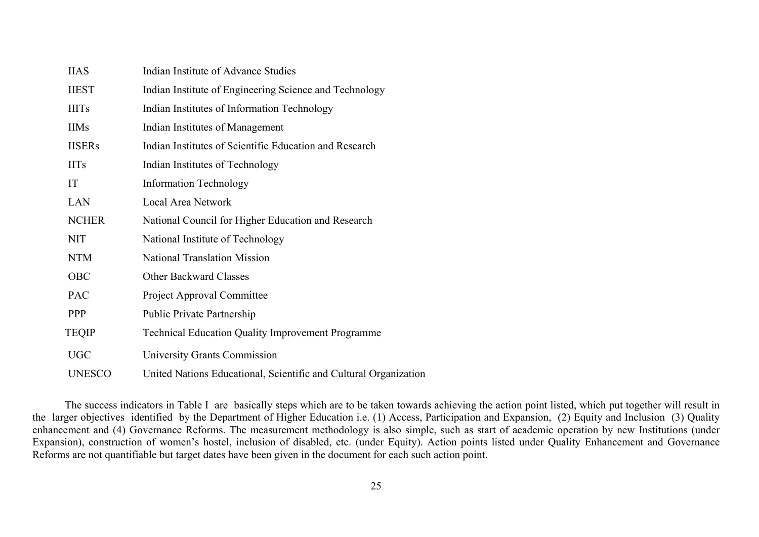| <b>IIAS</b>   | Indian Institute of Advance Studies                              |
|---------------|------------------------------------------------------------------|
| <b>IIEST</b>  | Indian Institute of Engineering Science and Technology           |
| <b>IIITs</b>  | Indian Institutes of Information Technology                      |
| <b>IIMs</b>   | Indian Institutes of Management                                  |
| <b>IISERs</b> | Indian Institutes of Scientific Education and Research           |
| <b>IITs</b>   | Indian Institutes of Technology                                  |
| IT            | <b>Information Technology</b>                                    |
| LAN           | Local Area Network                                               |
| <b>NCHER</b>  | National Council for Higher Education and Research               |
| <b>NIT</b>    | National Institute of Technology                                 |
| <b>NTM</b>    | <b>National Translation Mission</b>                              |
| OBC           | <b>Other Backward Classes</b>                                    |
| <b>PAC</b>    | Project Approval Committee                                       |
| <b>PPP</b>    | <b>Public Private Partnership</b>                                |
| <b>TEQIP</b>  | <b>Technical Education Quality Improvement Programme</b>         |
| <b>UGC</b>    | University Grants Commission                                     |
| <b>UNESCO</b> | United Nations Educational, Scientific and Cultural Organization |

The success indicators in Table I are basically steps which are to be taken towards achieving the action point listed, which put together will result in the larger objectives identified by the Department of Higher Education i.e. (1) Access, Participation and Expansion, (2) Equity and Inclusion (3) Quality enhancement and (4) Governance Reforms. The measurement methodology is also simple, such as start of academic operation by new Institutions (under Expansion), construction of women's hostel, inclusion of disabled, etc. (under Equity). Action points listed under Quality Enhancement and Governance Reforms are not quantifiable but target dates have been given in the document for each such action point.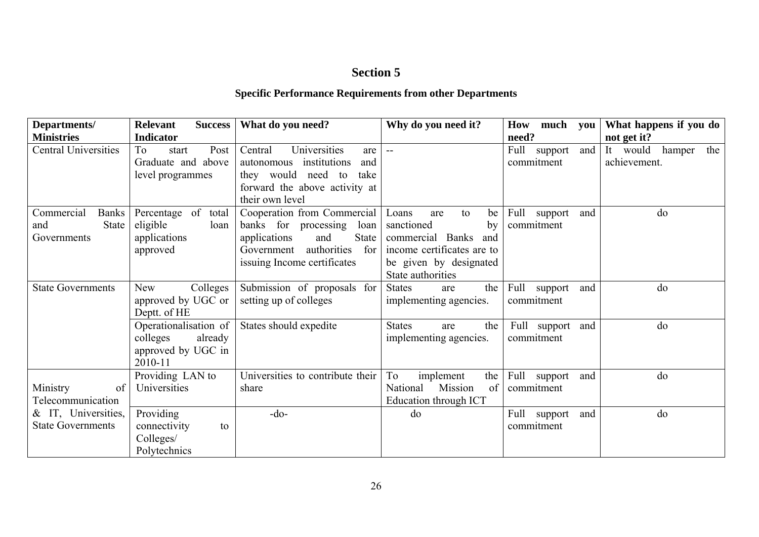# **Section 5**

# **Specific Performance Requirements from other Departments**

| Departments/                | Relevant<br><b>Success</b> | What do you need?                 | Why do you need it?         | How<br>much     | What happens if you do<br>you    |
|-----------------------------|----------------------------|-----------------------------------|-----------------------------|-----------------|----------------------------------|
| <b>Ministries</b>           | <b>Indicator</b>           |                                   |                             | need?           | not get it?                      |
| <b>Central Universities</b> | Post<br>To<br>start        | Universities<br>Central<br>are    | $\mathbf{m}$                | Full<br>support | and<br>It would<br>hamper<br>the |
|                             | Graduate and above         | institutions<br>autonomous<br>and |                             | commitment      | achievement.                     |
|                             | level programmes           | they would need to<br>take        |                             |                 |                                  |
|                             |                            | forward the above activity at     |                             |                 |                                  |
|                             |                            | their own level                   |                             |                 |                                  |
| Commercial<br><b>Banks</b>  | Percentage of<br>total     | Cooperation from Commercial       | Loans<br>to<br>be<br>are    | Full<br>support | do<br>and                        |
| State<br>and                | eligible<br>loan           | banks for processing<br>loan      | sanctioned<br>by            | commitment      |                                  |
| Governments                 | applications               | State<br>applications<br>and      | commercial Banks<br>and     |                 |                                  |
|                             | approved                   | authorities<br>for<br>Government  | income certificates are to  |                 |                                  |
|                             |                            | issuing Income certificates       | be given by designated      |                 |                                  |
|                             |                            |                                   | State authorities           |                 |                                  |
| <b>State Governments</b>    | Colleges<br><b>New</b>     | Submission of proposals for       | <b>States</b><br>the<br>are | Full<br>support | do<br>and                        |
|                             | approved by UGC or         | setting up of colleges            | implementing agencies.      | commitment      |                                  |
|                             | Deptt. of HE               |                                   |                             |                 |                                  |
|                             | Operationalisation of      | States should expedite            | <b>States</b><br>the<br>are | Full support    | do<br>and                        |
|                             | colleges<br>already        |                                   | implementing agencies.      | commitment      |                                  |
|                             | approved by UGC in         |                                   |                             |                 |                                  |
|                             | 2010-11                    |                                   |                             |                 |                                  |
|                             | Providing LAN to           | Universities to contribute their  | To<br>the<br>implement      | Full support    | do<br>and                        |
| Ministry<br>of              | Universities               | share                             | National<br>Mission<br>of   | commitment      |                                  |
| Telecommunication           |                            |                                   | Education through ICT       |                 |                                  |
| & IT, Universities,         | Providing                  | $-do-$                            | do                          | Full<br>support | do<br>and                        |
| <b>State Governments</b>    | connectivity<br>to         |                                   |                             | commitment      |                                  |
|                             | Colleges/                  |                                   |                             |                 |                                  |
|                             | Polytechnics               |                                   |                             |                 |                                  |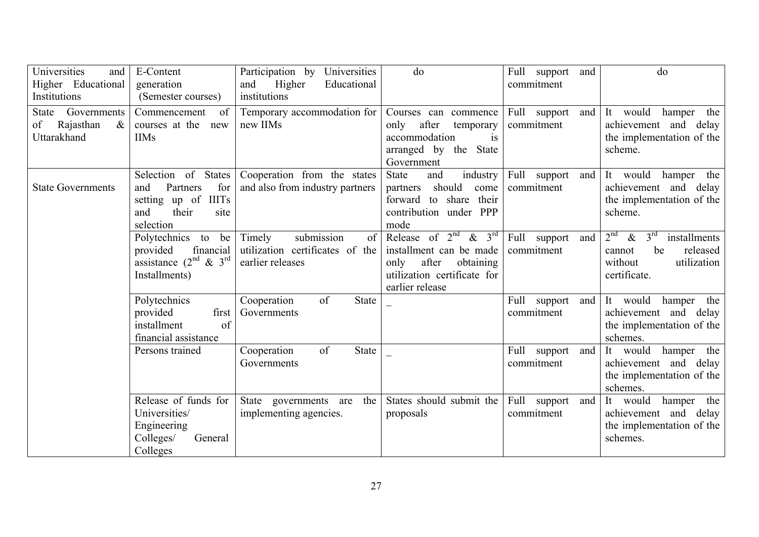| Universities<br>and<br>Higher Educational<br>Institutions      | E-Content<br>generation<br>(Semester courses)                                                                       | Participation by<br>Universities<br>Higher<br>Educational<br>and<br>institutions  | do                                                                                                                                                   | Full support<br>and<br>commitment    | do                                                                                                                               |
|----------------------------------------------------------------|---------------------------------------------------------------------------------------------------------------------|-----------------------------------------------------------------------------------|------------------------------------------------------------------------------------------------------------------------------------------------------|--------------------------------------|----------------------------------------------------------------------------------------------------------------------------------|
| Governments<br>State<br>Rajasthan<br>of<br>$\&$<br>Uttarakhand | Commencement<br>of<br>courses at the<br>new<br><b>IIMs</b>                                                          | Temporary accommodation for<br>new IIMs                                           | Courses can commence<br>after<br>only<br>temporary<br>accommodation<br>is<br>arranged by the State<br>Government                                     | Full support<br>and<br>commitment    | It would hamper<br>the<br>achievement and delay<br>the implementation of the<br>scheme.                                          |
| <b>State Governments</b>                                       | Selection of States<br>Partners<br>for<br>and<br><b>IIITs</b><br>setting up of<br>their<br>and<br>site<br>selection | Cooperation from the states<br>and also from industry partners                    | industry<br><b>State</b><br>and<br>should<br>partners<br>come<br>their<br>forward to share<br>contribution under PPP<br>mode                         | Full support<br>and<br>commitment    | It would<br>hamper the<br>achievement and delay<br>the implementation of the<br>scheme.                                          |
|                                                                | Polytechnics to<br>be<br>financial<br>provided<br>assistance $(2^{nd} \& 3^{rd}$<br>Installments)                   | Timely<br>submission<br>of<br>utilization certificates of the<br>earlier releases | Release of $2nd$<br>& $3^{\overline{rd}}$<br>installment can be made<br>after<br>obtaining<br>only<br>utilization certificate for<br>earlier release | Full<br>support<br>and<br>commitment | 2 <sup>nd</sup><br>3 <sup>rd</sup><br>$\&$<br>installments<br>be<br>released<br>cannot<br>without<br>utilization<br>certificate. |
|                                                                | Polytechnics<br>provided<br>first<br>installment<br>of<br>financial assistance                                      | of<br><b>State</b><br>Cooperation<br>Governments                                  |                                                                                                                                                      | Full<br>support<br>and<br>commitment | It would<br>the<br>hamper<br>achievement and delay<br>the implementation of the<br>schemes.                                      |
|                                                                | Persons trained                                                                                                     | of<br><b>State</b><br>Cooperation<br>Governments                                  |                                                                                                                                                      | Full<br>and<br>support<br>commitment | It<br>would<br>hamper the<br>achievement and delay<br>the implementation of the<br>schemes.                                      |
|                                                                | Release of funds for<br>Universities/<br>Engineering<br>Colleges/<br>General<br>Colleges                            | State governments are<br>the<br>implementing agencies.                            | States should submit the<br>proposals                                                                                                                | Full support<br>and<br>commitment    | It would<br>hamper the<br>achievement and delay<br>the implementation of the<br>schemes.                                         |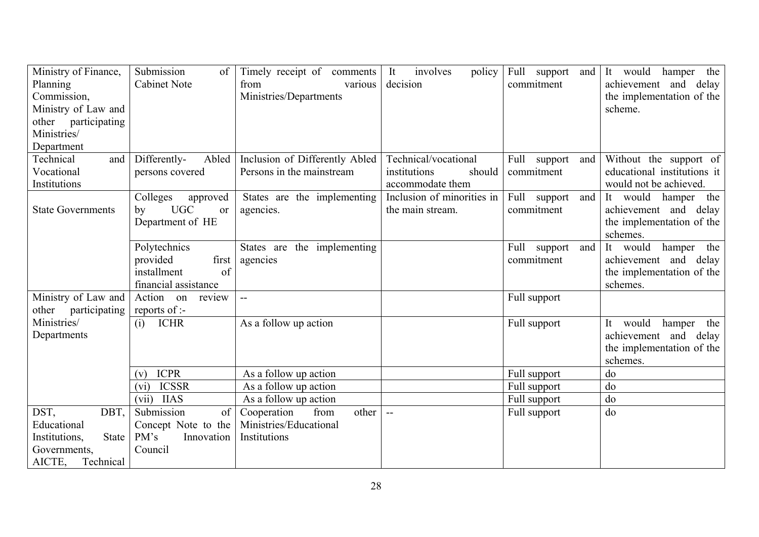| Ministry of Finance,<br>Planning<br>Commission,<br>Ministry of Law and<br>other participating<br>Ministries/<br>Department | Submission<br>of<br><b>Cabinet Note</b>                                       | Timely receipt of comments<br>from<br>various<br>Ministries/Departments | involves<br>It<br>policy<br>decision           | Full support<br>and<br>commitment | It would<br>hamper the<br>achievement and delay<br>the implementation of the<br>scheme.           |
|----------------------------------------------------------------------------------------------------------------------------|-------------------------------------------------------------------------------|-------------------------------------------------------------------------|------------------------------------------------|-----------------------------------|---------------------------------------------------------------------------------------------------|
| Technical<br>and                                                                                                           | Differently-<br>Abled                                                         | Inclusion of Differently Abled                                          | Technical/vocational                           | Full support<br>and               | Without the support of                                                                            |
| Vocational                                                                                                                 | persons covered                                                               | Persons in the mainstream                                               | institutions<br>should                         | commitment                        | educational institutions it                                                                       |
| Institutions                                                                                                               |                                                                               |                                                                         | accommodate them                               |                                   | would not be achieved.                                                                            |
| <b>State Governments</b>                                                                                                   | Colleges<br>approved<br><b>UGC</b><br>by<br><sub>or</sub><br>Department of HE | States are the implementing<br>agencies.                                | Inclusion of minorities in<br>the main stream. | Full support<br>and<br>commitment | It would hamper the<br>achievement and delay<br>the implementation of the<br>schemes.             |
|                                                                                                                            | Polytechnics                                                                  | States are the implementing                                             |                                                | Full<br>support<br>and            | It would<br>hamper the                                                                            |
|                                                                                                                            | provided<br>first                                                             | agencies                                                                |                                                | commitment                        | achievement and delay                                                                             |
|                                                                                                                            | installment<br>of                                                             |                                                                         |                                                |                                   | the implementation of the                                                                         |
|                                                                                                                            | financial assistance                                                          |                                                                         |                                                |                                   | schemes.                                                                                          |
| Ministry of Law and<br>other participating                                                                                 | Action on<br>review<br>reports of :-                                          | $\sim$ $\sim$                                                           |                                                | Full support                      |                                                                                                   |
| Ministries/<br>Departments                                                                                                 | <b>ICHR</b><br>(i)                                                            | As a follow up action                                                   |                                                | Full support                      | would<br>It<br>the<br>hamper<br>and delay<br>achievement<br>the implementation of the<br>schemes. |
|                                                                                                                            | <b>ICPR</b><br>(v)                                                            | As a follow up action                                                   |                                                | Full support                      | do                                                                                                |
|                                                                                                                            | <b>ICSSR</b><br>(vi)                                                          | As a follow up action                                                   |                                                | Full support                      | do                                                                                                |
|                                                                                                                            | <b>IIAS</b><br>(vii)                                                          | As a follow up action                                                   |                                                | Full support                      | do                                                                                                |
| DST,<br>DBT,                                                                                                               | Submission<br>of                                                              | from<br>Cooperation<br>other                                            | $-$                                            | Full support                      | do                                                                                                |
| Educational                                                                                                                | Concept Note to the                                                           | Ministries/Educational                                                  |                                                |                                   |                                                                                                   |
| State<br>Institutions,                                                                                                     | PM's<br>Innovation                                                            | Institutions                                                            |                                                |                                   |                                                                                                   |
| Governments,                                                                                                               | Council                                                                       |                                                                         |                                                |                                   |                                                                                                   |
| AICTE,<br>Technical                                                                                                        |                                                                               |                                                                         |                                                |                                   |                                                                                                   |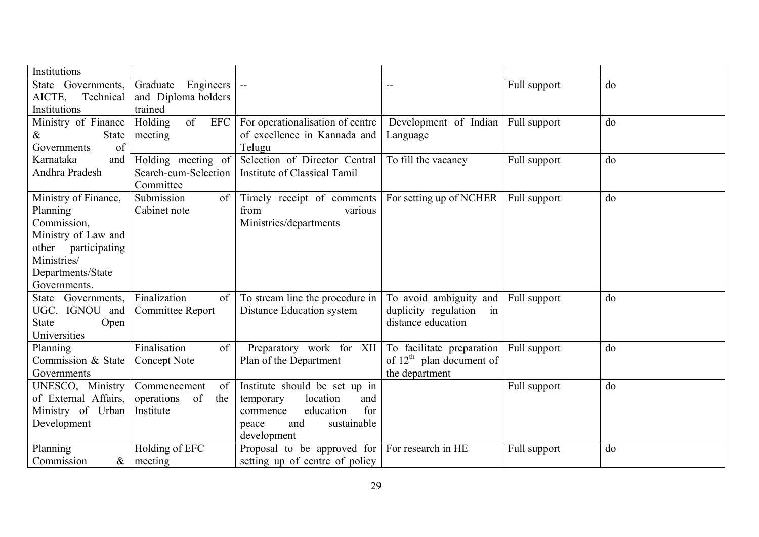| <b>Institutions</b>                |                                   |                                                              |                                                      |              |    |
|------------------------------------|-----------------------------------|--------------------------------------------------------------|------------------------------------------------------|--------------|----|
| State Governments,                 | Engineers<br>Graduate             | $\mathbb{L}^{\mathbb{L}}$                                    |                                                      | Full support | do |
| AICTE,<br>Technical                | and Diploma holders               |                                                              |                                                      |              |    |
| Institutions                       | trained                           |                                                              |                                                      |              |    |
| Ministry of Finance                | of<br><b>EFC</b><br>Holding       | For operationalisation of centre                             | Development of Indian                                | Full support | do |
| State<br>&                         | meeting                           | of excellence in Kannada and                                 | Language                                             |              |    |
| of<br>Governments                  |                                   | Telugu                                                       |                                                      |              |    |
| Karnataka<br>and<br>Andhra Pradesh | Holding meeting of                | Selection of Director Central                                | To fill the vacancy                                  | Full support | do |
|                                    | Search-cum-Selection<br>Committee | Institute of Classical Tamil                                 |                                                      |              |    |
| Ministry of Finance,               | Submission<br>of                  | Timely receipt of comments                                   | For setting up of NCHER                              | Full support | do |
| Planning                           | Cabinet note                      | various<br>from                                              |                                                      |              |    |
| Commission,                        |                                   | Ministries/departments                                       |                                                      |              |    |
| Ministry of Law and                |                                   |                                                              |                                                      |              |    |
| other participating                |                                   |                                                              |                                                      |              |    |
| Ministries/                        |                                   |                                                              |                                                      |              |    |
| Departments/State                  |                                   |                                                              |                                                      |              |    |
| Governments.<br>State Governments, | Finalization<br>of                |                                                              |                                                      |              | do |
| UGC, IGNOU and                     | Committee Report                  | To stream line the procedure in<br>Distance Education system | To avoid ambiguity and<br>duplicity regulation<br>in | Full support |    |
| <b>State</b><br>Open               |                                   |                                                              | distance education                                   |              |    |
| Universities                       |                                   |                                                              |                                                      |              |    |
| Planning                           | Finalisation<br>of                | Preparatory work for XII                                     | To facilitate preparation                            | Full support | do |
| Commission & State                 | Concept Note                      | Plan of the Department                                       | of $12th$ plan document of                           |              |    |
| Governments                        |                                   |                                                              | the department                                       |              |    |
| UNESCO, Ministry                   | Commencement<br>of                | Institute should be set up in                                |                                                      | Full support | do |
| of External Affairs,               | of<br>operations<br>the           | location<br>and<br>temporary                                 |                                                      |              |    |
| Ministry of Urban                  | Institute                         | for<br>education<br>commence                                 |                                                      |              |    |
| Development                        |                                   | sustainable<br>and<br>peace                                  |                                                      |              |    |
|                                    |                                   | development                                                  |                                                      |              |    |
| Planning                           | Holding of EFC                    | Proposal to be approved for                                  | For research in HE                                   | Full support | do |
| Commission<br>$\&$                 | meeting                           | setting up of centre of policy                               |                                                      |              |    |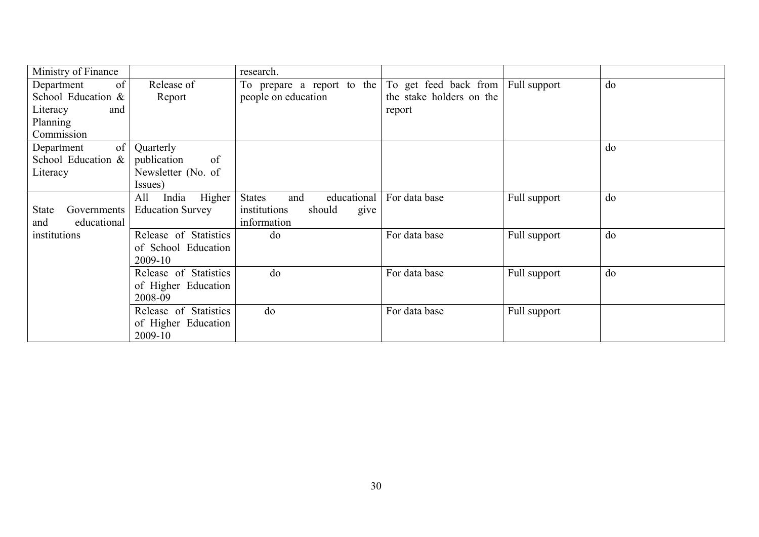| Ministry of Finance                    |                         | research.                                         |                                                   |              |    |
|----------------------------------------|-------------------------|---------------------------------------------------|---------------------------------------------------|--------------|----|
| of<br>Department<br>School Education & | Release of<br>Report    | To prepare a report to the<br>people on education | To get feed back from<br>the stake holders on the | Full support | do |
| Literacy<br>and                        |                         |                                                   | report                                            |              |    |
| Planning                               |                         |                                                   |                                                   |              |    |
| Commission                             |                         |                                                   |                                                   |              |    |
| of <sub>1</sub><br>Department          | Quarterly               |                                                   |                                                   |              | do |
| School Education &                     | publication<br>of       |                                                   |                                                   |              |    |
| Literacy                               | Newsletter (No. of      |                                                   |                                                   |              |    |
|                                        | Issues)                 |                                                   |                                                   |              |    |
|                                        | India<br>All<br>Higher  | <b>States</b><br>educational<br>and               | For data base                                     | Full support | do |
| <b>State</b><br>Governments            | <b>Education Survey</b> | institutions<br>should<br>give                    |                                                   |              |    |
| educational<br>and                     |                         | information                                       |                                                   |              |    |
| institutions                           | Release of Statistics   | do                                                | For data base                                     | Full support | do |
|                                        | of School Education     |                                                   |                                                   |              |    |
|                                        | 2009-10                 |                                                   |                                                   |              |    |
|                                        | Release of Statistics   | do                                                | For data base                                     | Full support | do |
|                                        | of Higher Education     |                                                   |                                                   |              |    |
|                                        | 2008-09                 |                                                   |                                                   |              |    |
|                                        | Release of Statistics   | do                                                | For data base                                     | Full support |    |
|                                        | of Higher Education     |                                                   |                                                   |              |    |
|                                        | 2009-10                 |                                                   |                                                   |              |    |